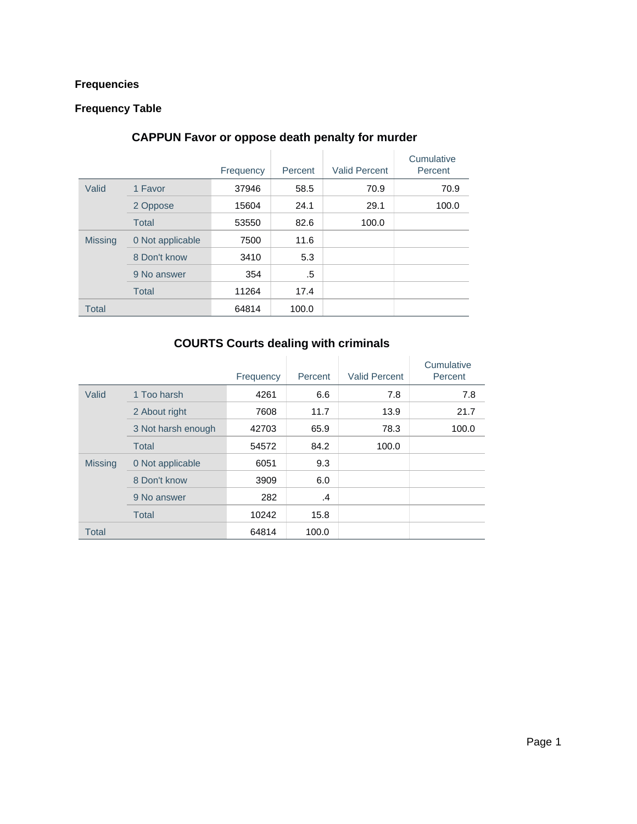### **Frequencies**

#### **Frequency Table**

#### **CAPPUN Favor or oppose death penalty for murder**

|                |                  | Frequency | Percent | <b>Valid Percent</b> | Cumulative<br>Percent |
|----------------|------------------|-----------|---------|----------------------|-----------------------|
| Valid          | 1 Favor          | 37946     | 58.5    | 70.9                 | 70.9                  |
|                | 2 Oppose         | 15604     | 24.1    | 29.1                 | 100.0                 |
|                | <b>Total</b>     | 53550     | 82.6    | 100.0                |                       |
| <b>Missing</b> | 0 Not applicable | 7500      | 11.6    |                      |                       |
|                | 8 Don't know     | 3410      | 5.3     |                      |                       |
|                | 9 No answer      | 354       | .5      |                      |                       |
|                | <b>Total</b>     | 11264     | 17.4    |                      |                       |
| <b>Total</b>   |                  | 64814     | 100.0   |                      |                       |

### **COURTS Courts dealing with criminals**

|                |                    | Frequency | Percent | <b>Valid Percent</b> | Cumulative<br>Percent |
|----------------|--------------------|-----------|---------|----------------------|-----------------------|
| Valid          | 1 Too harsh        | 4261      | 6.6     | 7.8                  | 7.8                   |
|                | 2 About right      | 7608      | 11.7    | 13.9                 | 21.7                  |
|                | 3 Not harsh enough | 42703     | 65.9    | 78.3                 | 100.0                 |
|                | <b>Total</b>       | 54572     | 84.2    | 100.0                |                       |
| <b>Missing</b> | 0 Not applicable   | 6051      | 9.3     |                      |                       |
|                | 8 Don't know       | 3909      | 6.0     |                      |                       |
|                | 9 No answer        | 282       | .4      |                      |                       |
|                | <b>Total</b>       | 10242     | 15.8    |                      |                       |
| <b>Total</b>   |                    | 64814     | 100.0   |                      |                       |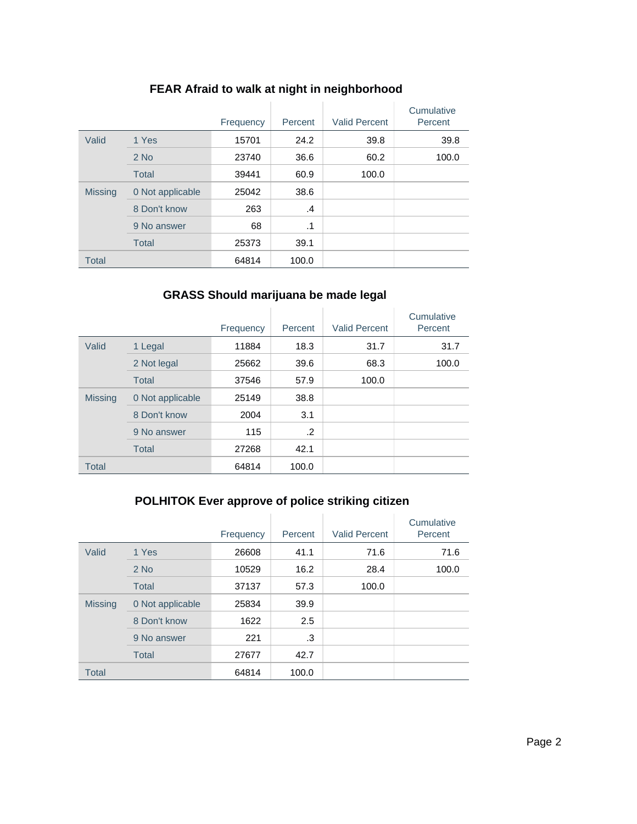|                |                  | Frequency | Percent   | <b>Valid Percent</b> | Cumulative<br>Percent |
|----------------|------------------|-----------|-----------|----------------------|-----------------------|
| Valid          | 1 Yes            | 15701     | 24.2      | 39.8                 | 39.8                  |
|                | $2$ No           | 23740     | 36.6      | 60.2                 | 100.0                 |
|                | <b>Total</b>     | 39441     | 60.9      | 100.0                |                       |
| <b>Missing</b> | 0 Not applicable | 25042     | 38.6      |                      |                       |
|                | 8 Don't know     | 263       | $\cdot$   |                      |                       |
|                | 9 No answer      | 68        | $\cdot$ 1 |                      |                       |
|                | <b>Total</b>     | 25373     | 39.1      |                      |                       |
| <b>Total</b>   |                  | 64814     | 100.0     |                      |                       |

### **FEAR Afraid to walk at night in neighborhood**

### **GRASS Should marijuana be made legal**

|                |                  | Frequency | Percent | <b>Valid Percent</b> | Cumulative<br>Percent |
|----------------|------------------|-----------|---------|----------------------|-----------------------|
| Valid          | 1 Legal          | 11884     | 18.3    | 31.7                 | 31.7                  |
|                | 2 Not legal      | 25662     | 39.6    | 68.3                 | 100.0                 |
|                | <b>Total</b>     | 37546     | 57.9    | 100.0                |                       |
| <b>Missing</b> | 0 Not applicable | 25149     | 38.8    |                      |                       |
|                | 8 Don't know     | 2004      | 3.1     |                      |                       |
|                | 9 No answer      | 115       | $\cdot$ |                      |                       |
|                | <b>Total</b>     | 27268     | 42.1    |                      |                       |
| <b>Total</b>   |                  | 64814     | 100.0   |                      |                       |

# **POLHITOK Ever approve of police striking citizen**

|                |                  | Frequency | Percent | <b>Valid Percent</b> | Cumulative<br>Percent |
|----------------|------------------|-----------|---------|----------------------|-----------------------|
| Valid          | 1 Yes            | 26608     | 41.1    | 71.6                 | 71.6                  |
|                | $2$ No           | 10529     | 16.2    | 28.4                 | 100.0                 |
|                | <b>Total</b>     | 37137     | 57.3    | 100.0                |                       |
| <b>Missing</b> | 0 Not applicable | 25834     | 39.9    |                      |                       |
|                | 8 Don't know     | 1622      | 2.5     |                      |                       |
|                | 9 No answer      | 221       | .3      |                      |                       |
|                | <b>Total</b>     | 27677     | 42.7    |                      |                       |
| <b>Total</b>   |                  | 64814     | 100.0   |                      |                       |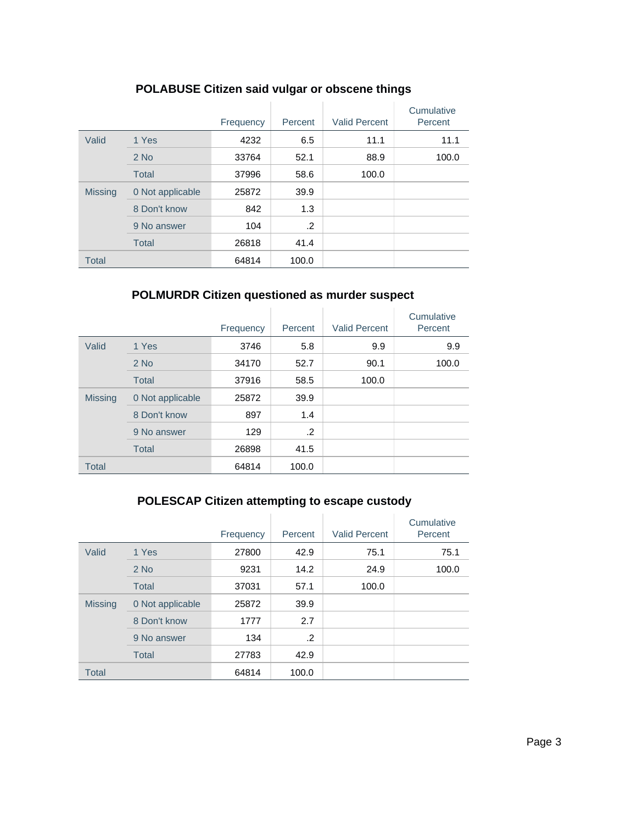|                |                  | Frequency | Percent | <b>Valid Percent</b> | Cumulative<br>Percent |
|----------------|------------------|-----------|---------|----------------------|-----------------------|
| Valid          | 1 Yes            | 4232      | 6.5     | 11.1                 | 11.1                  |
|                | $2$ No           | 33764     | 52.1    | 88.9                 | 100.0                 |
|                | <b>Total</b>     | 37996     | 58.6    | 100.0                |                       |
| <b>Missing</b> | 0 Not applicable | 25872     | 39.9    |                      |                       |
|                | 8 Don't know     | 842       | 1.3     |                      |                       |
|                | 9 No answer      | 104       | .2      |                      |                       |
|                | <b>Total</b>     | 26818     | 41.4    |                      |                       |
| <b>Total</b>   |                  | 64814     | 100.0   |                      |                       |

### **POLABUSE Citizen said vulgar or obscene things**

#### **POLMURDR Citizen questioned as murder suspect**

|                |                  | Frequency | Percent | <b>Valid Percent</b> | Cumulative<br>Percent |
|----------------|------------------|-----------|---------|----------------------|-----------------------|
| Valid          | 1 Yes            | 3746      | 5.8     | 9.9                  | 9.9                   |
|                | $2$ No           | 34170     | 52.7    | 90.1                 | 100.0                 |
|                | <b>Total</b>     | 37916     | 58.5    | 100.0                |                       |
| <b>Missing</b> | 0 Not applicable | 25872     | 39.9    |                      |                       |
|                | 8 Don't know     | 897       | 1.4     |                      |                       |
|                | 9 No answer      | 129       | $\cdot$ |                      |                       |
|                | <b>Total</b>     | 26898     | 41.5    |                      |                       |
| <b>Total</b>   |                  | 64814     | 100.0   |                      |                       |

# **POLESCAP Citizen attempting to escape custody**

|                |                  | Frequency | Percent | <b>Valid Percent</b> | Cumulative<br>Percent |
|----------------|------------------|-----------|---------|----------------------|-----------------------|
| Valid          | 1 Yes            | 27800     | 42.9    | 75.1                 | 75.1                  |
|                | $2$ No           | 9231      | 14.2    | 24.9                 | 100.0                 |
|                | <b>Total</b>     | 37031     | 57.1    | 100.0                |                       |
| <b>Missing</b> | 0 Not applicable | 25872     | 39.9    |                      |                       |
|                | 8 Don't know     | 1777      | 2.7     |                      |                       |
|                | 9 No answer      | 134       | .2      |                      |                       |
|                | <b>Total</b>     | 27783     | 42.9    |                      |                       |
| <b>Total</b>   |                  | 64814     | 100.0   |                      |                       |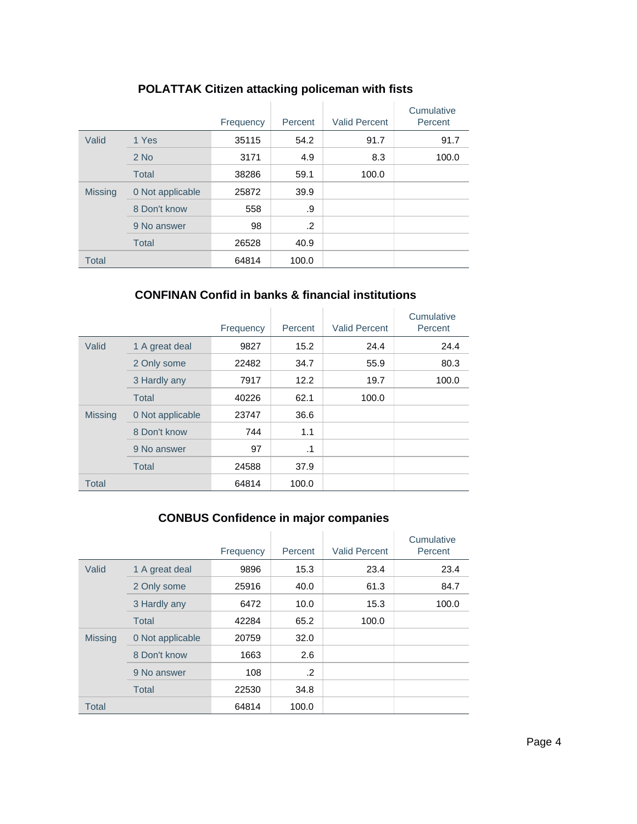|                |                  | Frequency | Percent | <b>Valid Percent</b> | Cumulative<br>Percent |
|----------------|------------------|-----------|---------|----------------------|-----------------------|
| Valid          | 1 Yes            | 35115     | 54.2    | 91.7                 | 91.7                  |
|                | $2$ No           | 3171      | 4.9     | 8.3                  | 100.0                 |
|                | <b>Total</b>     | 38286     | 59.1    | 100.0                |                       |
| <b>Missing</b> | 0 Not applicable | 25872     | 39.9    |                      |                       |
|                | 8 Don't know     | 558       | .9      |                      |                       |
|                | 9 No answer      | 98        | .2      |                      |                       |
|                | <b>Total</b>     | 26528     | 40.9    |                      |                       |
| <b>Total</b>   |                  | 64814     | 100.0   |                      |                       |

# **POLATTAK Citizen attacking policeman with fists**

### **CONFINAN Confid in banks & financial institutions**

|                |                  | Frequency | Percent | <b>Valid Percent</b> | Cumulative<br>Percent |
|----------------|------------------|-----------|---------|----------------------|-----------------------|
| Valid          | 1 A great deal   | 9827      | 15.2    | 24.4                 | 24.4                  |
|                | 2 Only some      | 22482     | 34.7    | 55.9                 | 80.3                  |
|                | 3 Hardly any     | 7917      | 12.2    | 19.7                 | 100.0                 |
|                | Total            | 40226     | 62.1    | 100.0                |                       |
| <b>Missing</b> | 0 Not applicable | 23747     | 36.6    |                      |                       |
|                | 8 Don't know     | 744       | 1.1     |                      |                       |
|                | 9 No answer      | 97        | .1      |                      |                       |
|                | <b>Total</b>     | 24588     | 37.9    |                      |                       |
| <b>Total</b>   |                  | 64814     | 100.0   |                      |                       |

# **CONBUS Confidence in major companies**

|                |                  | Frequency | Percent | <b>Valid Percent</b> | Cumulative<br>Percent |
|----------------|------------------|-----------|---------|----------------------|-----------------------|
| Valid          | 1 A great deal   | 9896      | 15.3    | 23.4                 | 23.4                  |
|                | 2 Only some      | 25916     | 40.0    | 61.3                 | 84.7                  |
|                | 3 Hardly any     | 6472      | 10.0    | 15.3                 | 100.0                 |
|                | <b>Total</b>     | 42284     | 65.2    | 100.0                |                       |
| <b>Missing</b> | 0 Not applicable | 20759     | 32.0    |                      |                       |
|                | 8 Don't know     | 1663      | 2.6     |                      |                       |
|                | 9 No answer      | 108       | .2      |                      |                       |
|                | <b>Total</b>     | 22530     | 34.8    |                      |                       |
| <b>Total</b>   |                  | 64814     | 100.0   |                      |                       |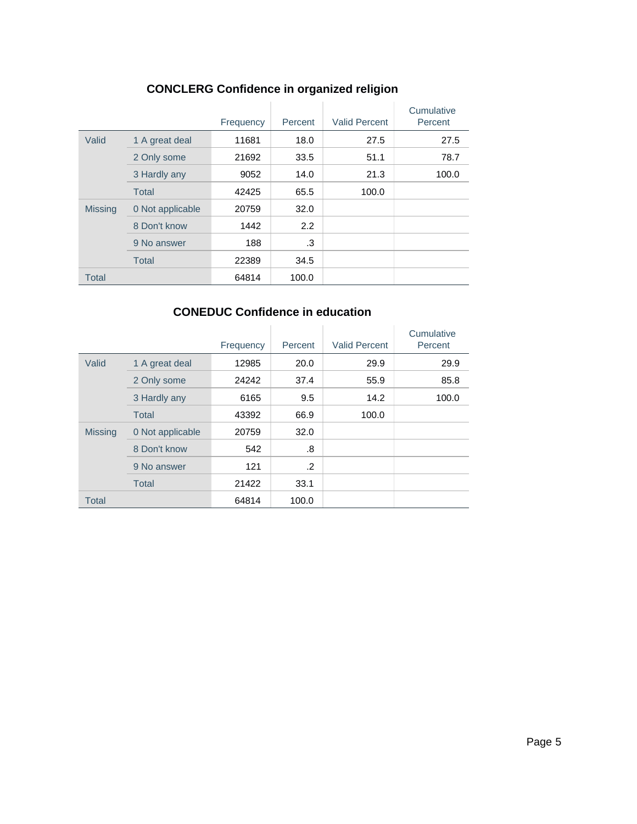|                |                  | Frequency | Percent | <b>Valid Percent</b> | Cumulative<br>Percent |
|----------------|------------------|-----------|---------|----------------------|-----------------------|
| Valid          | 1 A great deal   | 11681     | 18.0    | 27.5                 | 27.5                  |
|                | 2 Only some      | 21692     | 33.5    | 51.1                 | 78.7                  |
|                | 3 Hardly any     | 9052      | 14.0    | 21.3                 | 100.0                 |
|                | <b>Total</b>     | 42425     | 65.5    | 100.0                |                       |
| <b>Missing</b> | 0 Not applicable | 20759     | 32.0    |                      |                       |
|                | 8 Don't know     | 1442      | 2.2     |                      |                       |
|                | 9 No answer      | 188       | .3      |                      |                       |
|                | <b>Total</b>     | 22389     | 34.5    |                      |                       |
| <b>Total</b>   |                  | 64814     | 100.0   |                      |                       |

# **CONCLERG Confidence in organized religion**

### **CONEDUC Confidence in education**

|                |                  | Frequency | Percent | <b>Valid Percent</b> | Cumulative<br>Percent |
|----------------|------------------|-----------|---------|----------------------|-----------------------|
| Valid          | 1 A great deal   | 12985     | 20.0    | 29.9                 | 29.9                  |
|                | 2 Only some      | 24242     | 37.4    | 55.9                 | 85.8                  |
|                | 3 Hardly any     | 6165      | 9.5     | 14.2                 | 100.0                 |
|                | <b>Total</b>     | 43392     | 66.9    | 100.0                |                       |
| <b>Missing</b> | 0 Not applicable | 20759     | 32.0    |                      |                       |
|                | 8 Don't know     | 542       | .8      |                      |                       |
|                | 9 No answer      | 121       | .2      |                      |                       |
|                | <b>Total</b>     | 21422     | 33.1    |                      |                       |
| <b>Total</b>   |                  | 64814     | 100.0   |                      |                       |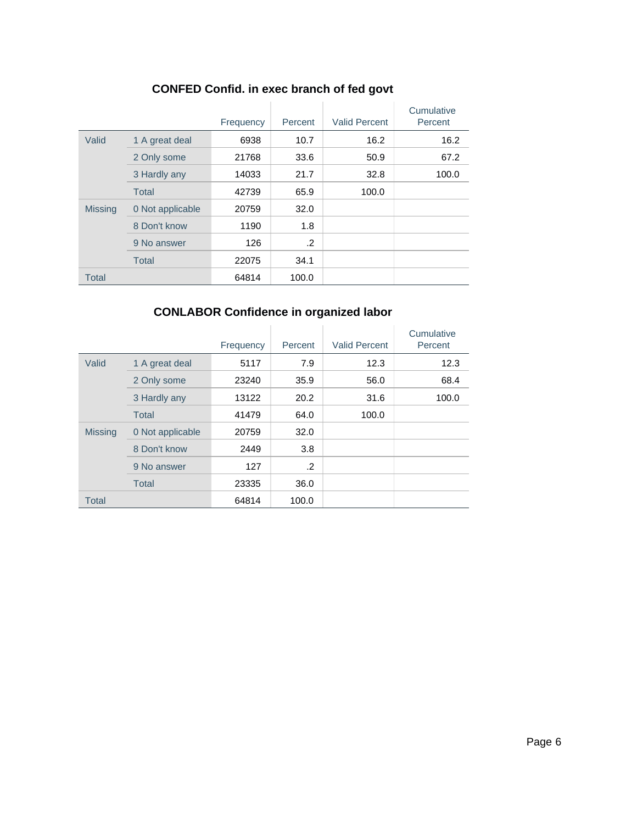|                |                  | Frequency | Percent | <b>Valid Percent</b> | Cumulative<br>Percent |
|----------------|------------------|-----------|---------|----------------------|-----------------------|
| Valid          | 1 A great deal   | 6938      | 10.7    | 16.2                 | 16.2                  |
|                | 2 Only some      | 21768     | 33.6    | 50.9                 | 67.2                  |
|                | 3 Hardly any     | 14033     | 21.7    | 32.8                 | 100.0                 |
|                | <b>Total</b>     | 42739     | 65.9    | 100.0                |                       |
| <b>Missing</b> | 0 Not applicable | 20759     | 32.0    |                      |                       |
|                | 8 Don't know     | 1190      | 1.8     |                      |                       |
|                | 9 No answer      | 126       | $\cdot$ |                      |                       |
|                | <b>Total</b>     | 22075     | 34.1    |                      |                       |
| <b>Total</b>   |                  | 64814     | 100.0   |                      |                       |

# **CONFED Confid. in exec branch of fed govt**

# **CONLABOR Confidence in organized labor**

|                |                  | Frequency | Percent | <b>Valid Percent</b> | Cumulative<br>Percent |
|----------------|------------------|-----------|---------|----------------------|-----------------------|
| Valid          | 1 A great deal   | 5117      | 7.9     | 12.3                 | 12.3                  |
|                | 2 Only some      | 23240     | 35.9    | 56.0                 | 68.4                  |
|                | 3 Hardly any     | 13122     | 20.2    | 31.6                 | 100.0                 |
|                | <b>Total</b>     | 41479     | 64.0    | 100.0                |                       |
| <b>Missing</b> | 0 Not applicable | 20759     | 32.0    |                      |                       |
|                | 8 Don't know     | 2449      | 3.8     |                      |                       |
|                | 9 No answer      | 127       | .2      |                      |                       |
|                | <b>Total</b>     | 23335     | 36.0    |                      |                       |
| <b>Total</b>   |                  | 64814     | 100.0   |                      |                       |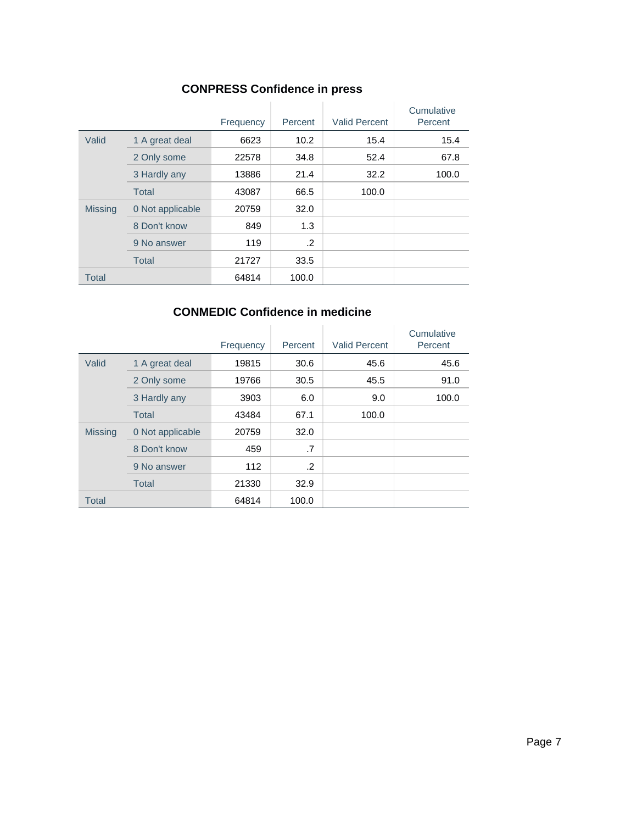### **CONPRESS Confidence in press**

|                |                  | Frequency | Percent | <b>Valid Percent</b> | Cumulative<br>Percent |
|----------------|------------------|-----------|---------|----------------------|-----------------------|
| Valid          | 1 A great deal   | 6623      | 10.2    | 15.4                 | 15.4                  |
|                | 2 Only some      | 22578     | 34.8    | 52.4                 | 67.8                  |
|                | 3 Hardly any     | 13886     | 21.4    | 32.2                 | 100.0                 |
|                | <b>Total</b>     | 43087     | 66.5    | 100.0                |                       |
| <b>Missing</b> | 0 Not applicable | 20759     | 32.0    |                      |                       |
|                | 8 Don't know     | 849       | 1.3     |                      |                       |
|                | 9 No answer      | 119       | .2      |                      |                       |
|                | <b>Total</b>     | 21727     | 33.5    |                      |                       |
| <b>Total</b>   |                  | 64814     | 100.0   |                      |                       |

### **CONMEDIC Confidence in medicine**

|                |                  | Frequency | Percent | <b>Valid Percent</b> | Cumulative<br>Percent |
|----------------|------------------|-----------|---------|----------------------|-----------------------|
| Valid          | 1 A great deal   | 19815     | 30.6    | 45.6                 | 45.6                  |
|                | 2 Only some      | 19766     | 30.5    | 45.5                 | 91.0                  |
|                | 3 Hardly any     | 3903      | 6.0     | 9.0                  | 100.0                 |
|                | <b>Total</b>     | 43484     | 67.1    | 100.0                |                       |
| <b>Missing</b> | 0 Not applicable | 20759     | 32.0    |                      |                       |
|                | 8 Don't know     | 459       | .7      |                      |                       |
|                | 9 No answer      | 112       | .2      |                      |                       |
|                | <b>Total</b>     | 21330     | 32.9    |                      |                       |
| <b>Total</b>   |                  | 64814     | 100.0   |                      |                       |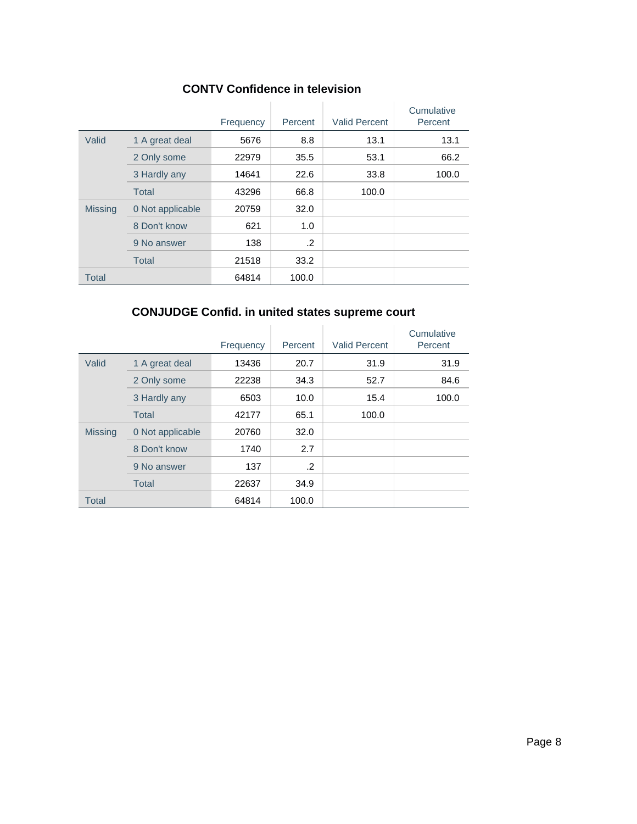|                |                  | Frequency | Percent    | <b>Valid Percent</b> | Cumulative<br>Percent |
|----------------|------------------|-----------|------------|----------------------|-----------------------|
| Valid          | 1 A great deal   | 5676      | 8.8        | 13.1                 | 13.1                  |
|                | 2 Only some      | 22979     | 35.5       | 53.1                 | 66.2                  |
|                | 3 Hardly any     | 14641     | 22.6       | 33.8                 | 100.0                 |
|                | Total            | 43296     | 66.8       | 100.0                |                       |
| <b>Missing</b> | 0 Not applicable | 20759     | 32.0       |                      |                       |
|                | 8 Don't know     | 621       | 1.0        |                      |                       |
|                | 9 No answer      | 138       | $\cdot$ .2 |                      |                       |
|                | <b>Total</b>     | 21518     | 33.2       |                      |                       |
| <b>Total</b>   |                  | 64814     | 100.0      |                      |                       |

### **CONJUDGE Confid. in united states supreme court**

|                |                  | Frequency | Percent | <b>Valid Percent</b> | Cumulative<br>Percent |
|----------------|------------------|-----------|---------|----------------------|-----------------------|
| Valid          | 1 A great deal   | 13436     | 20.7    | 31.9                 | 31.9                  |
|                | 2 Only some      | 22238     | 34.3    | 52.7                 | 84.6                  |
|                | 3 Hardly any     | 6503      | 10.0    | 15.4                 | 100.0                 |
|                | <b>Total</b>     | 42177     | 65.1    | 100.0                |                       |
| <b>Missing</b> | 0 Not applicable | 20760     | 32.0    |                      |                       |
|                | 8 Don't know     | 1740      | 2.7     |                      |                       |
|                | 9 No answer      | 137       | .2      |                      |                       |
|                | <b>Total</b>     | 22637     | 34.9    |                      |                       |
| <b>Total</b>   |                  | 64814     | 100.0   |                      |                       |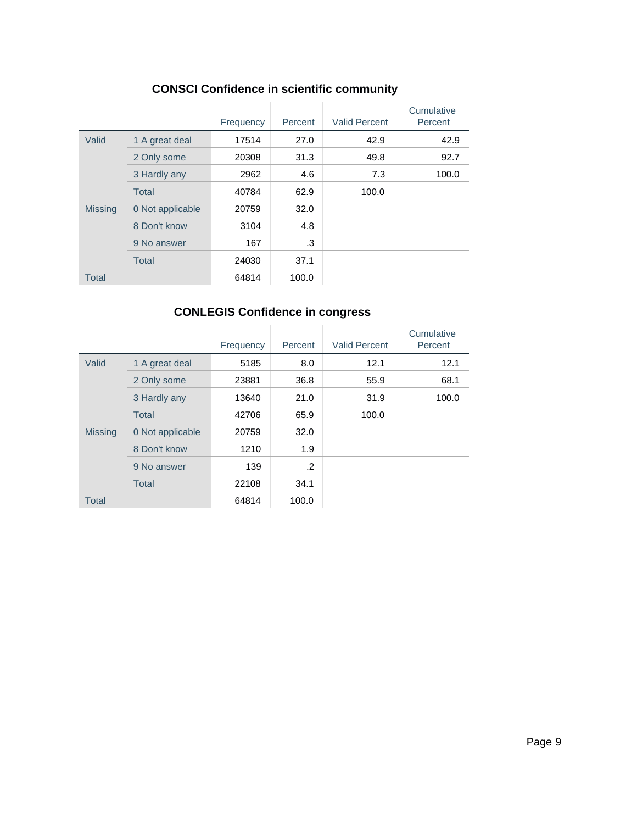|                |                  | Frequency | Percent | <b>Valid Percent</b> | Cumulative<br>Percent |
|----------------|------------------|-----------|---------|----------------------|-----------------------|
| Valid          | 1 A great deal   | 17514     | 27.0    | 42.9                 | 42.9                  |
|                | 2 Only some      | 20308     | 31.3    | 49.8                 | 92.7                  |
|                | 3 Hardly any     | 2962      | 4.6     | 7.3                  | 100.0                 |
|                | <b>Total</b>     | 40784     | 62.9    | 100.0                |                       |
| <b>Missing</b> | 0 Not applicable | 20759     | 32.0    |                      |                       |
|                | 8 Don't know     | 3104      | 4.8     |                      |                       |
|                | 9 No answer      | 167       | .3      |                      |                       |
|                | <b>Total</b>     | 24030     | 37.1    |                      |                       |
| <b>Total</b>   |                  | 64814     | 100.0   |                      |                       |

# **CONSCI Confidence in scientific community**

# **CONLEGIS Confidence in congress**

|                |                  | Frequency | Percent | <b>Valid Percent</b> | Cumulative<br>Percent |
|----------------|------------------|-----------|---------|----------------------|-----------------------|
| Valid          | 1 A great deal   | 5185      | 8.0     | 12.1                 | 12.1                  |
|                | 2 Only some      | 23881     | 36.8    | 55.9                 | 68.1                  |
|                | 3 Hardly any     | 13640     | 21.0    | 31.9                 | 100.0                 |
|                | <b>Total</b>     | 42706     | 65.9    | 100.0                |                       |
| <b>Missing</b> | 0 Not applicable | 20759     | 32.0    |                      |                       |
|                | 8 Don't know     | 1210      | 1.9     |                      |                       |
|                | 9 No answer      | 139       | .2      |                      |                       |
|                | <b>Total</b>     | 22108     | 34.1    |                      |                       |
| <b>Total</b>   |                  | 64814     | 100.0   |                      |                       |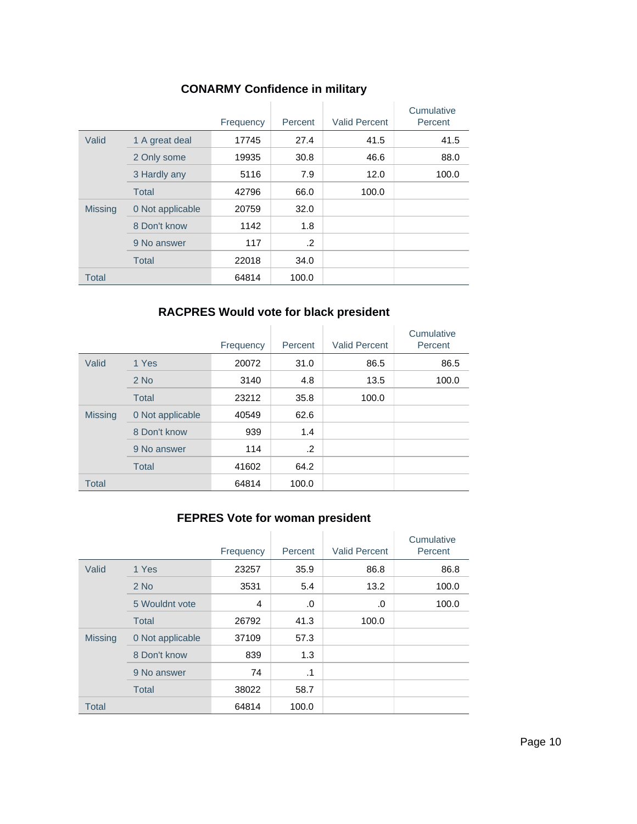|                |                  | Frequency | Percent | <b>Valid Percent</b> | Cumulative<br>Percent |
|----------------|------------------|-----------|---------|----------------------|-----------------------|
| Valid          | 1 A great deal   | 17745     | 27.4    | 41.5                 | 41.5                  |
|                | 2 Only some      | 19935     | 30.8    | 46.6                 | 88.0                  |
|                | 3 Hardly any     | 5116      | 7.9     | 12.0                 | 100.0                 |
|                | <b>Total</b>     | 42796     | 66.0    | 100.0                |                       |
| <b>Missing</b> | 0 Not applicable | 20759     | 32.0    |                      |                       |
|                | 8 Don't know     | 1142      | 1.8     |                      |                       |
|                | 9 No answer      | 117       | .2      |                      |                       |
|                | Total            | 22018     | 34.0    |                      |                       |
| <b>Total</b>   |                  | 64814     | 100.0   |                      |                       |

# **CONARMY Confidence in military**

### **RACPRES Would vote for black president**

|                |                  | Frequency | Percent | <b>Valid Percent</b> | Cumulative<br>Percent |
|----------------|------------------|-----------|---------|----------------------|-----------------------|
| Valid          | 1 Yes            | 20072     | 31.0    | 86.5                 | 86.5                  |
|                | $2$ No           | 3140      | 4.8     | 13.5                 | 100.0                 |
|                | <b>Total</b>     | 23212     | 35.8    | 100.0                |                       |
| <b>Missing</b> | 0 Not applicable | 40549     | 62.6    |                      |                       |
|                | 8 Don't know     | 939       | 1.4     |                      |                       |
|                | 9 No answer      | 114       | .2      |                      |                       |
|                | <b>Total</b>     | 41602     | 64.2    |                      |                       |
| <b>Total</b>   |                  | 64814     | 100.0   |                      |                       |

# **FEPRES Vote for woman president**

|                |                  | Frequency | Percent   | <b>Valid Percent</b> | Cumulative<br>Percent |
|----------------|------------------|-----------|-----------|----------------------|-----------------------|
| Valid          | 1 Yes            | 23257     | 35.9      | 86.8                 | 86.8                  |
|                | $2$ No           | 3531      | 5.4       | 13.2                 | 100.0                 |
|                | 5 Wouldnt vote   | 4         | .0        | .0                   | 100.0                 |
|                | <b>Total</b>     | 26792     | 41.3      | 100.0                |                       |
| <b>Missing</b> | 0 Not applicable | 37109     | 57.3      |                      |                       |
|                | 8 Don't know     | 839       | 1.3       |                      |                       |
|                | 9 No answer      | 74        | $\cdot$ 1 |                      |                       |
|                | <b>Total</b>     | 38022     | 58.7      |                      |                       |
| <b>Total</b>   |                  | 64814     | 100.0     |                      |                       |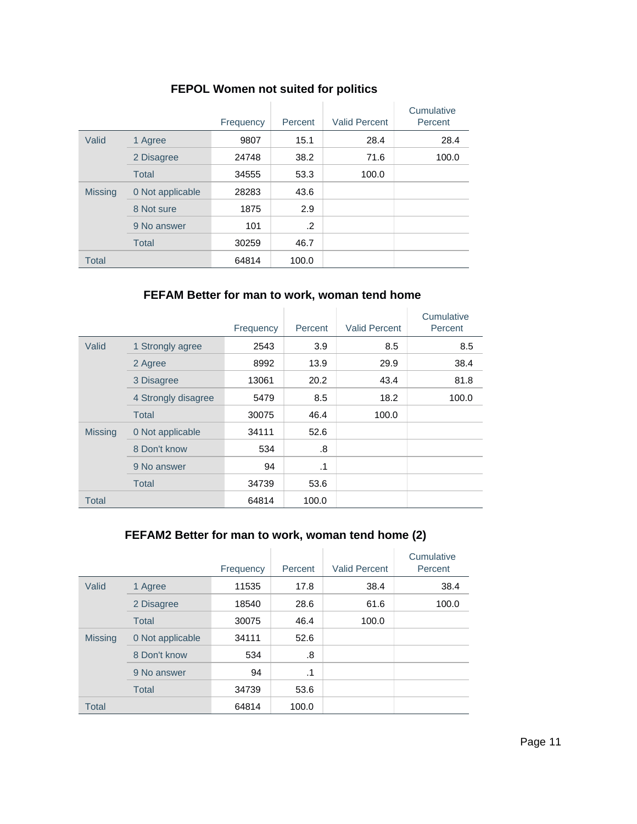|  | <b>FEPOL Women not suited for politics</b> |  |  |  |
|--|--------------------------------------------|--|--|--|
|--|--------------------------------------------|--|--|--|

|                |                  | Frequency | Percent | <b>Valid Percent</b> | Cumulative<br>Percent |
|----------------|------------------|-----------|---------|----------------------|-----------------------|
| Valid          | 1 Agree          | 9807      | 15.1    | 28.4                 | 28.4                  |
|                | 2 Disagree       | 24748     | 38.2    | 71.6                 | 100.0                 |
|                | <b>Total</b>     | 34555     | 53.3    | 100.0                |                       |
| <b>Missing</b> | 0 Not applicable | 28283     | 43.6    |                      |                       |
|                | 8 Not sure       | 1875      | 2.9     |                      |                       |
|                | 9 No answer      | 101       | .2      |                      |                       |
|                | <b>Total</b>     | 30259     | 46.7    |                      |                       |
| <b>Total</b>   |                  | 64814     | 100.0   |                      |                       |

### **FEFAM Better for man to work, woman tend home**

|                |                     | Frequency | Percent   | <b>Valid Percent</b> | Cumulative<br>Percent |
|----------------|---------------------|-----------|-----------|----------------------|-----------------------|
| Valid          | 1 Strongly agree    | 2543      | 3.9       | 8.5                  | 8.5                   |
|                | 2 Agree             | 8992      | 13.9      | 29.9                 | 38.4                  |
|                | 3 Disagree          | 13061     | 20.2      | 43.4                 | 81.8                  |
|                | 4 Strongly disagree | 5479      | 8.5       | 18.2                 | 100.0                 |
|                | <b>Total</b>        | 30075     | 46.4      | 100.0                |                       |
| <b>Missing</b> | 0 Not applicable    | 34111     | 52.6      |                      |                       |
|                | 8 Don't know        | 534       | .8        |                      |                       |
|                | 9 No answer         | 94        | $\cdot$ 1 |                      |                       |
|                | <b>Total</b>        | 34739     | 53.6      |                      |                       |
| <b>Total</b>   |                     | 64814     | 100.0     |                      |                       |

### **FEFAM2 Better for man to work, woman tend home (2)**

|                |                  | Frequency | Percent   | <b>Valid Percent</b> | Cumulative<br>Percent |
|----------------|------------------|-----------|-----------|----------------------|-----------------------|
| Valid          | 1 Agree          | 11535     | 17.8      | 38.4                 | 38.4                  |
|                | 2 Disagree       | 18540     | 28.6      | 61.6                 | 100.0                 |
|                | <b>Total</b>     | 30075     | 46.4      | 100.0                |                       |
| <b>Missing</b> | 0 Not applicable | 34111     | 52.6      |                      |                       |
|                | 8 Don't know     | 534       | .8        |                      |                       |
|                | 9 No answer      | 94        | $\cdot$ 1 |                      |                       |
|                | Total            | 34739     | 53.6      |                      |                       |
| <b>Total</b>   |                  | 64814     | 100.0     |                      |                       |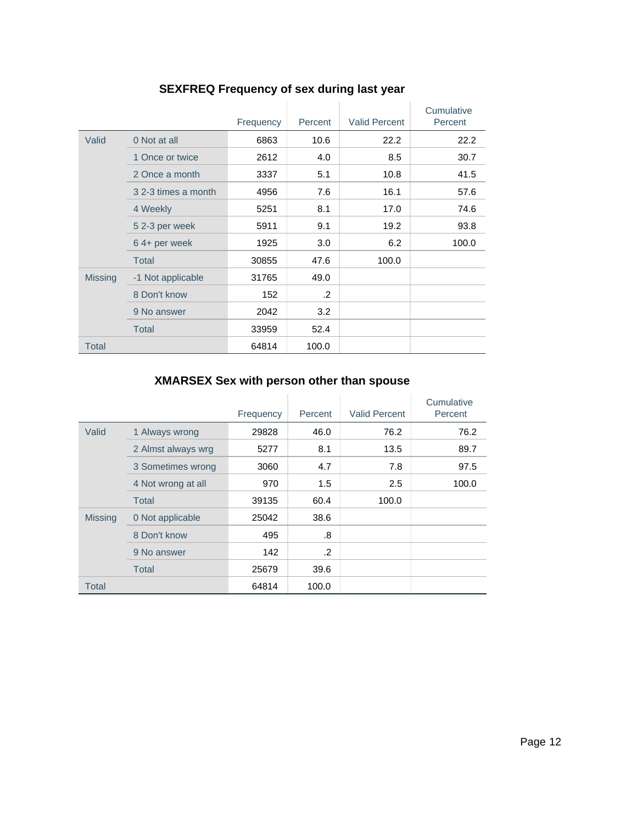|                |                     | Frequency | Percent | <b>Valid Percent</b> | Cumulative<br>Percent |
|----------------|---------------------|-----------|---------|----------------------|-----------------------|
| Valid          | 0 Not at all        | 6863      | 10.6    | 22.2                 | 22.2                  |
|                | 1 Once or twice     | 2612      | 4.0     | 8.5                  | 30.7                  |
|                | 2 Once a month      | 3337      | 5.1     | 10.8                 | 41.5                  |
|                | 3 2-3 times a month | 4956      | 7.6     | 16.1                 | 57.6                  |
|                | 4 Weekly            | 5251      | 8.1     | 17.0                 | 74.6                  |
|                | 52-3 per week       | 5911      | 9.1     | 19.2                 | 93.8                  |
|                | 64+ per week        | 1925      | 3.0     | 6.2                  | 100.0                 |
|                | <b>Total</b>        | 30855     | 47.6    | 100.0                |                       |
| <b>Missing</b> | -1 Not applicable   | 31765     | 49.0    |                      |                       |
|                | 8 Don't know        | 152       | $\cdot$ |                      |                       |
|                | 9 No answer         | 2042      | 3.2     |                      |                       |
|                | <b>Total</b>        | 33959     | 52.4    |                      |                       |
| <b>Total</b>   |                     | 64814     | 100.0   |                      |                       |

# **SEXFREQ Frequency of sex during last year**

# **XMARSEX Sex with person other than spouse**

|                |                    | Frequency | Percent    | <b>Valid Percent</b> | Cumulative<br>Percent |
|----------------|--------------------|-----------|------------|----------------------|-----------------------|
| Valid          | 1 Always wrong     | 29828     | 46.0       | 76.2                 | 76.2                  |
|                | 2 Almst always wrg | 5277      | 8.1        | 13.5                 | 89.7                  |
|                | 3 Sometimes wrong  | 3060      | 4.7        | 7.8                  | 97.5                  |
|                | 4 Not wrong at all | 970       | 1.5        | 2.5                  | 100.0                 |
|                | Total              | 39135     | 60.4       | 100.0                |                       |
| <b>Missing</b> | 0 Not applicable   | 25042     | 38.6       |                      |                       |
|                | 8 Don't know       | 495       | .8         |                      |                       |
|                | 9 No answer        | 142       | $\cdot$ .2 |                      |                       |
|                | Total              | 25679     | 39.6       |                      |                       |
| Total          |                    | 64814     | 100.0      |                      |                       |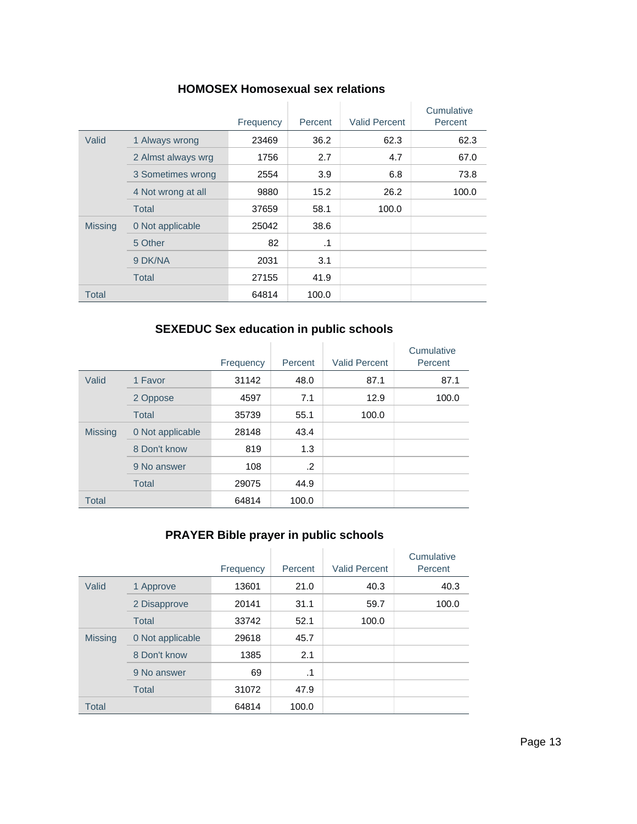|                |                    | Frequency | Percent   | <b>Valid Percent</b> | Cumulative<br>Percent |
|----------------|--------------------|-----------|-----------|----------------------|-----------------------|
| Valid          | 1 Always wrong     | 23469     | 36.2      | 62.3                 | 62.3                  |
|                | 2 Almst always wrg | 1756      | 2.7       | 4.7                  | 67.0                  |
|                | 3 Sometimes wrong  | 2554      | 3.9       | 6.8                  | 73.8                  |
|                | 4 Not wrong at all | 9880      | 15.2      | 26.2                 | 100.0                 |
|                | Total              | 37659     | 58.1      | 100.0                |                       |
| <b>Missing</b> | 0 Not applicable   | 25042     | 38.6      |                      |                       |
|                | 5 Other            | 82        | $\cdot$ 1 |                      |                       |
|                | 9 DK/NA            | 2031      | 3.1       |                      |                       |
|                | Total              | 27155     | 41.9      |                      |                       |
| Total          |                    | 64814     | 100.0     |                      |                       |

#### **HOMOSEX Homosexual sex relations**

# **SEXEDUC Sex education in public schools**

|                |                  | Frequency | Percent | <b>Valid Percent</b> | Cumulative<br>Percent |
|----------------|------------------|-----------|---------|----------------------|-----------------------|
| Valid          | 1 Favor          | 31142     | 48.0    | 87.1                 | 87.1                  |
|                | 2 Oppose         | 4597      | 7.1     | 12.9                 | 100.0                 |
|                | <b>Total</b>     | 35739     | 55.1    | 100.0                |                       |
| <b>Missing</b> | 0 Not applicable | 28148     | 43.4    |                      |                       |
|                | 8 Don't know     | 819       | 1.3     |                      |                       |
|                | 9 No answer      | 108       | $\cdot$ |                      |                       |
|                | <b>Total</b>     | 29075     | 44.9    |                      |                       |
| <b>Total</b>   |                  | 64814     | 100.0   |                      |                       |

# **PRAYER Bible prayer in public schools**

|                |                  | Frequency | Percent | <b>Valid Percent</b> | Cumulative<br>Percent |
|----------------|------------------|-----------|---------|----------------------|-----------------------|
| Valid          | 1 Approve        | 13601     | 21.0    | 40.3                 | 40.3                  |
|                | 2 Disapprove     | 20141     | 31.1    | 59.7                 | 100.0                 |
|                | <b>Total</b>     | 33742     | 52.1    | 100.0                |                       |
| <b>Missing</b> | 0 Not applicable | 29618     | 45.7    |                      |                       |
|                | 8 Don't know     | 1385      | 2.1     |                      |                       |
|                | 9 No answer      | 69        | .1      |                      |                       |
|                | <b>Total</b>     | 31072     | 47.9    |                      |                       |
| <b>Total</b>   |                  | 64814     | 100.0   |                      |                       |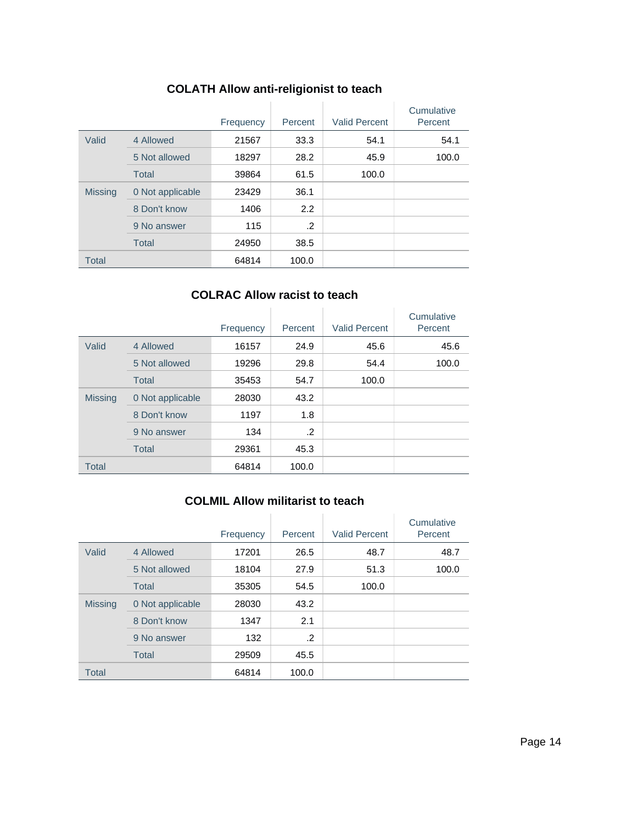# **COLATH Allow anti-religionist to teach**

|                |                  | Frequency | Percent       | <b>Valid Percent</b> | Cumulative<br>Percent |
|----------------|------------------|-----------|---------------|----------------------|-----------------------|
| Valid          | 4 Allowed        | 21567     | 33.3          | 54.1                 | 54.1                  |
|                | 5 Not allowed    | 18297     | 28.2          | 45.9                 | 100.0                 |
|                | <b>Total</b>     | 39864     | 61.5          | 100.0                |                       |
| <b>Missing</b> | 0 Not applicable | 23429     | 36.1          |                      |                       |
|                | 8 Don't know     | 1406      | $2.2^{\circ}$ |                      |                       |
|                | 9 No answer      | 115       | .2            |                      |                       |
|                | <b>Total</b>     | 24950     | 38.5          |                      |                       |
| <b>Total</b>   |                  | 64814     | 100.0         |                      |                       |

### **COLRAC Allow racist to teach**

|                |                  | Frequency | Percent | <b>Valid Percent</b> | Cumulative<br>Percent |
|----------------|------------------|-----------|---------|----------------------|-----------------------|
| Valid          | 4 Allowed        | 16157     | 24.9    | 45.6                 | 45.6                  |
|                | 5 Not allowed    | 19296     | 29.8    | 54.4                 | 100.0                 |
|                | <b>Total</b>     | 35453     | 54.7    | 100.0                |                       |
| <b>Missing</b> | 0 Not applicable | 28030     | 43.2    |                      |                       |
|                | 8 Don't know     | 1197      | 1.8     |                      |                       |
|                | 9 No answer      | 134       | .2      |                      |                       |
|                | <b>Total</b>     | 29361     | 45.3    |                      |                       |
| <b>Total</b>   |                  | 64814     | 100.0   |                      |                       |

### **COLMIL Allow militarist to teach**

|                |                  | Frequency | Percent | <b>Valid Percent</b> | Cumulative<br>Percent |
|----------------|------------------|-----------|---------|----------------------|-----------------------|
| Valid          | 4 Allowed        | 17201     | 26.5    | 48.7                 | 48.7                  |
|                | 5 Not allowed    | 18104     | 27.9    | 51.3                 | 100.0                 |
|                | <b>Total</b>     | 35305     | 54.5    | 100.0                |                       |
| <b>Missing</b> | 0 Not applicable | 28030     | 43.2    |                      |                       |
|                | 8 Don't know     | 1347      | 2.1     |                      |                       |
|                | 9 No answer      | 132       | .2      |                      |                       |
|                | <b>Total</b>     | 29509     | 45.5    |                      |                       |
| <b>Total</b>   |                  | 64814     | 100.0   |                      |                       |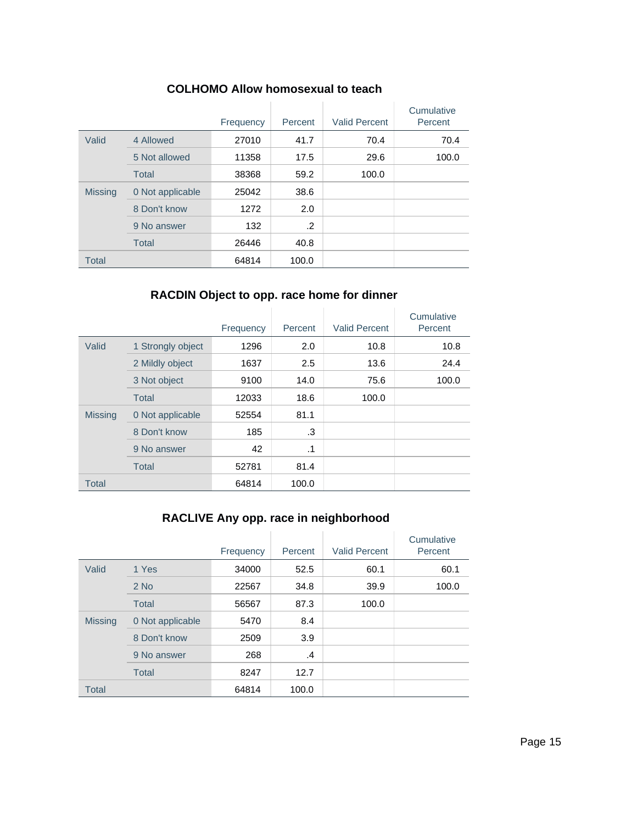|                |                  | Frequency | Percent | <b>Valid Percent</b> | Cumulative<br>Percent |
|----------------|------------------|-----------|---------|----------------------|-----------------------|
| Valid          | 4 Allowed        | 27010     | 41.7    | 70.4                 | 70.4                  |
|                | 5 Not allowed    | 11358     | 17.5    | 29.6                 | 100.0                 |
|                | <b>Total</b>     | 38368     | 59.2    | 100.0                |                       |
| <b>Missing</b> | 0 Not applicable | 25042     | 38.6    |                      |                       |
|                | 8 Don't know     | 1272      | 2.0     |                      |                       |
|                | 9 No answer      | 132       | .2      |                      |                       |
|                | <b>Total</b>     | 26446     | 40.8    |                      |                       |
| <b>Total</b>   |                  | 64814     | 100.0   |                      |                       |

#### **COLHOMO Allow homosexual to teach**

### **RACDIN Object to opp. race home for dinner**

|                |                   | Frequency | Percent | <b>Valid Percent</b> | Cumulative<br>Percent |
|----------------|-------------------|-----------|---------|----------------------|-----------------------|
| Valid          | 1 Strongly object | 1296      | 2.0     | 10.8                 | 10.8                  |
|                | 2 Mildly object   | 1637      | 2.5     | 13.6                 | 24.4                  |
|                | 3 Not object      | 9100      | 14.0    | 75.6                 | 100.0                 |
|                | Total             | 12033     | 18.6    | 100.0                |                       |
| <b>Missing</b> | 0 Not applicable  | 52554     | 81.1    |                      |                       |
|                | 8 Don't know      | 185       | .3      |                      |                       |
|                | 9 No answer       | 42        | .1      |                      |                       |
|                | <b>Total</b>      | 52781     | 81.4    |                      |                       |
| <b>Total</b>   |                   | 64814     | 100.0   |                      |                       |

# **RACLIVE Any opp. race in neighborhood**

|                |                  | Frequency | Percent | <b>Valid Percent</b> | Cumulative<br>Percent |
|----------------|------------------|-----------|---------|----------------------|-----------------------|
| Valid          | 1 Yes            | 34000     | 52.5    | 60.1                 | 60.1                  |
|                | $2$ No           | 22567     | 34.8    | 39.9                 | 100.0                 |
|                | <b>Total</b>     | 56567     | 87.3    | 100.0                |                       |
| <b>Missing</b> | 0 Not applicable | 5470      | 8.4     |                      |                       |
|                | 8 Don't know     | 2509      | 3.9     |                      |                       |
|                | 9 No answer      | 268       | .4      |                      |                       |
|                | <b>Total</b>     | 8247      | 12.7    |                      |                       |
| <b>Total</b>   |                  | 64814     | 100.0   |                      |                       |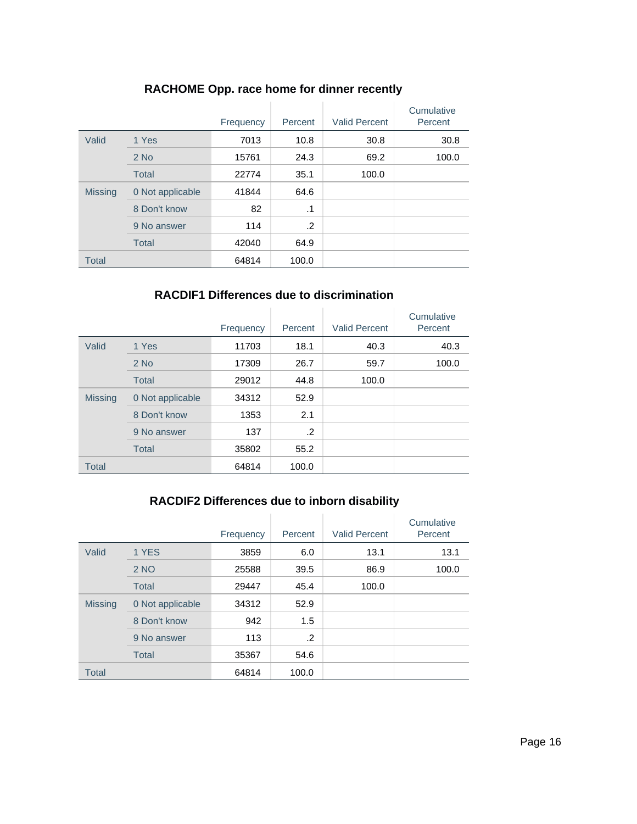|                |                  | Frequency | Percent   | <b>Valid Percent</b> | Cumulative<br>Percent |
|----------------|------------------|-----------|-----------|----------------------|-----------------------|
| Valid          | 1 Yes            | 7013      | 10.8      | 30.8                 | 30.8                  |
|                | $2$ No           | 15761     | 24.3      | 69.2                 | 100.0                 |
|                | <b>Total</b>     | 22774     | 35.1      | 100.0                |                       |
| <b>Missing</b> | 0 Not applicable | 41844     | 64.6      |                      |                       |
|                | 8 Don't know     | 82        | $\cdot$ 1 |                      |                       |
|                | 9 No answer      | 114       | .2        |                      |                       |
|                | <b>Total</b>     | 42040     | 64.9      |                      |                       |
| <b>Total</b>   |                  | 64814     | 100.0     |                      |                       |

### **RACHOME Opp. race home for dinner recently**

### **RACDIF1 Differences due to discrimination**

|                |                  | Frequency | Percent | <b>Valid Percent</b> | Cumulative<br>Percent |
|----------------|------------------|-----------|---------|----------------------|-----------------------|
| Valid          | 1 Yes            | 11703     | 18.1    | 40.3                 | 40.3                  |
|                | $2$ No           | 17309     | 26.7    | 59.7                 | 100.0                 |
|                | <b>Total</b>     | 29012     | 44.8    | 100.0                |                       |
| <b>Missing</b> | 0 Not applicable | 34312     | 52.9    |                      |                       |
|                | 8 Don't know     | 1353      | 2.1     |                      |                       |
|                | 9 No answer      | 137       | $\cdot$ |                      |                       |
|                | <b>Total</b>     | 35802     | 55.2    |                      |                       |
| <b>Total</b>   |                  | 64814     | 100.0   |                      |                       |

#### **RACDIF2 Differences due to inborn disability**

|                |                  | Frequency | Percent | <b>Valid Percent</b> | Cumulative<br>Percent |
|----------------|------------------|-----------|---------|----------------------|-----------------------|
| Valid          | 1 YES            | 3859      | 6.0     | 13.1                 | 13.1                  |
|                | 2 NO             | 25588     | 39.5    | 86.9                 | 100.0                 |
|                | <b>Total</b>     | 29447     | 45.4    | 100.0                |                       |
| <b>Missing</b> | 0 Not applicable | 34312     | 52.9    |                      |                       |
|                | 8 Don't know     | 942       | 1.5     |                      |                       |
|                | 9 No answer      | 113       | $\cdot$ |                      |                       |
|                | <b>Total</b>     | 35367     | 54.6    |                      |                       |
| <b>Total</b>   |                  | 64814     | 100.0   |                      |                       |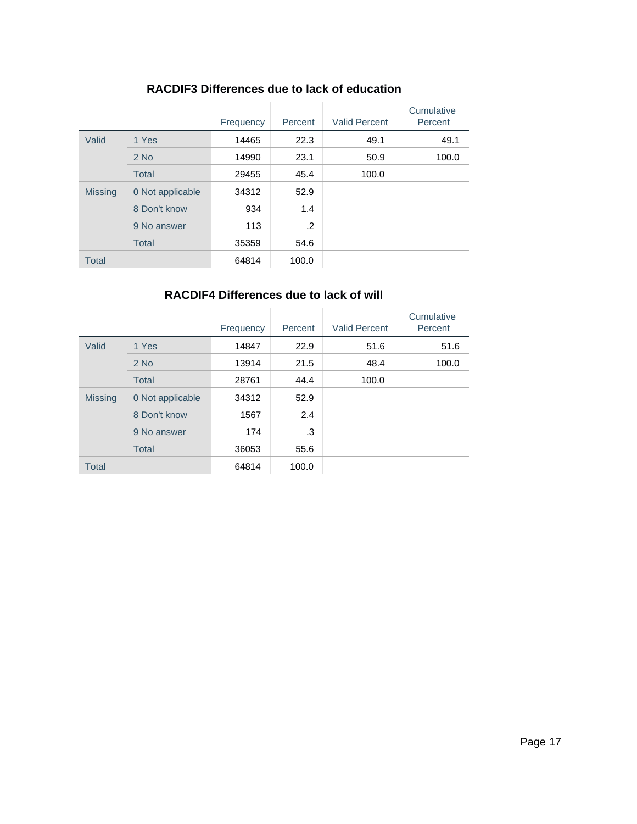|                |                  | Frequency | Percent | <b>Valid Percent</b> | Cumulative<br>Percent |
|----------------|------------------|-----------|---------|----------------------|-----------------------|
| Valid          | 1 Yes            | 14465     | 22.3    | 49.1                 | 49.1                  |
|                | $2$ No           | 14990     | 23.1    | 50.9                 | 100.0                 |
|                | <b>Total</b>     | 29455     | 45.4    | 100.0                |                       |
| <b>Missing</b> | 0 Not applicable | 34312     | 52.9    |                      |                       |
|                | 8 Don't know     | 934       | 1.4     |                      |                       |
|                | 9 No answer      | 113       | .2      |                      |                       |
|                | <b>Total</b>     | 35359     | 54.6    |                      |                       |
| <b>Total</b>   |                  | 64814     | 100.0   |                      |                       |

### **RACDIF3 Differences due to lack of education**

### **RACDIF4 Differences due to lack of will**

|                |                  | Frequency | Percent | <b>Valid Percent</b> | Cumulative<br>Percent |
|----------------|------------------|-----------|---------|----------------------|-----------------------|
| Valid          | 1 Yes            | 14847     | 22.9    | 51.6                 | 51.6                  |
|                | $2$ No           | 13914     | 21.5    | 48.4                 | 100.0                 |
|                | <b>Total</b>     | 28761     | 44.4    | 100.0                |                       |
| <b>Missing</b> | 0 Not applicable | 34312     | 52.9    |                      |                       |
|                | 8 Don't know     | 1567      | 2.4     |                      |                       |
|                | 9 No answer      | 174       | .3      |                      |                       |
|                | <b>Total</b>     | 36053     | 55.6    |                      |                       |
| <b>Total</b>   |                  | 64814     | 100.0   |                      |                       |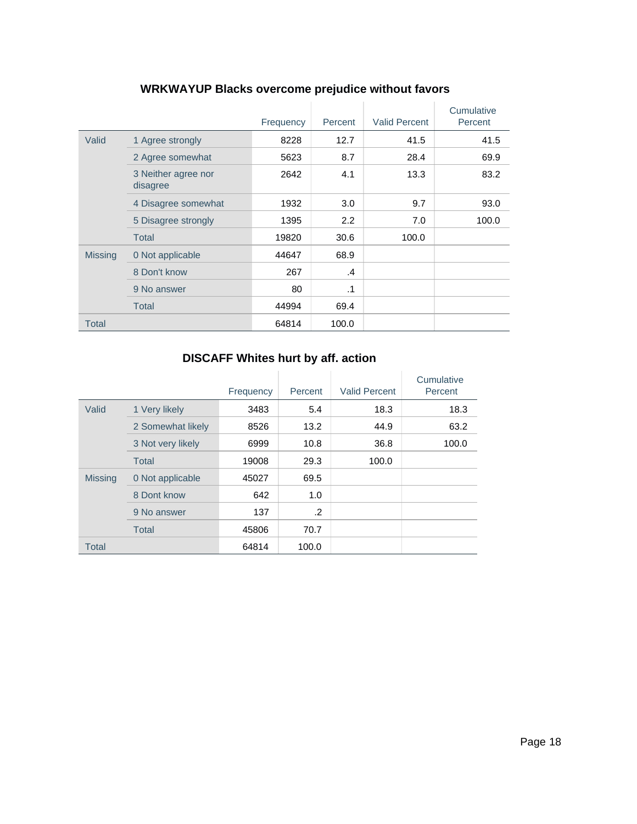|                |                                 | Frequency | Percent       | <b>Valid Percent</b> | Cumulative<br>Percent |
|----------------|---------------------------------|-----------|---------------|----------------------|-----------------------|
| Valid          | 1 Agree strongly                | 8228      | 12.7          | 41.5                 | 41.5                  |
|                | 2 Agree somewhat                | 5623      | 8.7           | 28.4                 | 69.9                  |
|                | 3 Neither agree nor<br>disagree | 2642      | 4.1           | 13.3                 | 83.2                  |
|                | 4 Disagree somewhat             | 1932      | 3.0           | 9.7                  | 93.0                  |
|                | 5 Disagree strongly             | 1395      | 2.2           | 7.0                  | 100.0                 |
|                | <b>Total</b>                    | 19820     | 30.6          | 100.0                |                       |
| <b>Missing</b> | 0 Not applicable                | 44647     | 68.9          |                      |                       |
|                | 8 Don't know                    | 267       | $\mathcal{A}$ |                      |                       |
|                | 9 No answer                     | 80        | $\cdot$ 1     |                      |                       |
|                | Total                           | 44994     | 69.4          |                      |                       |
| <b>Total</b>   |                                 | 64814     | 100.0         |                      |                       |

# **WRKWAYUP Blacks overcome prejudice without favors**

# **DISCAFF Whites hurt by aff. action**

|                |                   | Frequency | Percent    | <b>Valid Percent</b> | Cumulative<br>Percent |
|----------------|-------------------|-----------|------------|----------------------|-----------------------|
| Valid          | 1 Very likely     | 3483      | 5.4        | 18.3                 | 18.3                  |
|                | 2 Somewhat likely | 8526      | 13.2       | 44.9                 | 63.2                  |
|                | 3 Not very likely | 6999      | 10.8       | 36.8                 | 100.0                 |
|                | <b>Total</b>      | 19008     | 29.3       | 100.0                |                       |
| <b>Missing</b> | 0 Not applicable  | 45027     | 69.5       |                      |                       |
|                | 8 Dont know       | 642       | 1.0        |                      |                       |
|                | 9 No answer       | 137       | $\cdot$ .2 |                      |                       |
|                | <b>Total</b>      | 45806     | 70.7       |                      |                       |
| <b>Total</b>   |                   | 64814     | 100.0      |                      |                       |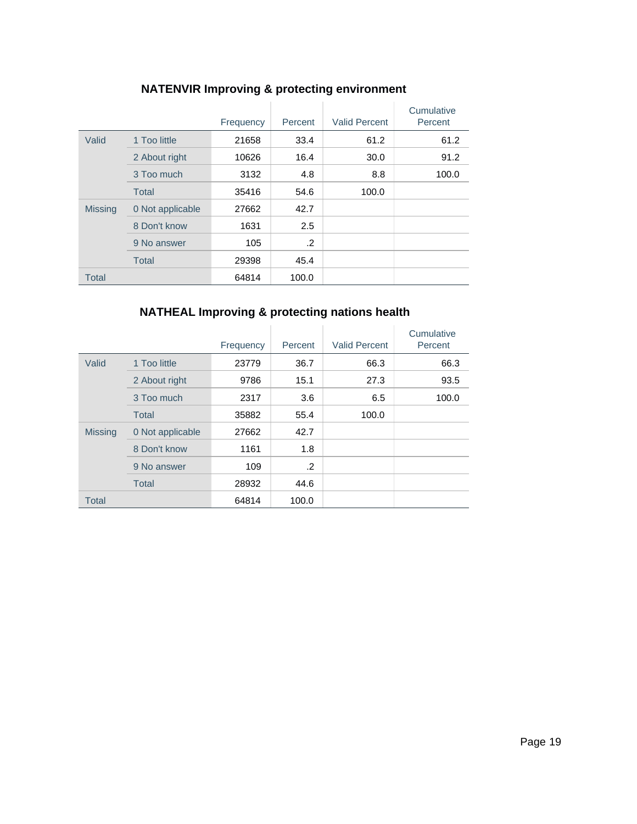|                |                  | Frequency | Percent    | <b>Valid Percent</b> | Cumulative<br>Percent |
|----------------|------------------|-----------|------------|----------------------|-----------------------|
| Valid          | 1 Too little     | 21658     | 33.4       | 61.2                 | 61.2                  |
|                | 2 About right    | 10626     | 16.4       | 30.0                 | 91.2                  |
|                | 3 Too much       | 3132      | 4.8        | 8.8                  | 100.0                 |
|                | <b>Total</b>     | 35416     | 54.6       | 100.0                |                       |
| <b>Missing</b> | 0 Not applicable | 27662     | 42.7       |                      |                       |
|                | 8 Don't know     | 1631      | 2.5        |                      |                       |
|                | 9 No answer      | 105       | $\cdot$ .2 |                      |                       |
|                | <b>Total</b>     | 29398     | 45.4       |                      |                       |
| <b>Total</b>   |                  | 64814     | 100.0      |                      |                       |

# **NATENVIR Improving & protecting environment**

# **NATHEAL Improving & protecting nations health**

|                |                  | Frequency | Percent | <b>Valid Percent</b> | Cumulative<br>Percent |
|----------------|------------------|-----------|---------|----------------------|-----------------------|
| Valid          | 1 Too little     | 23779     | 36.7    | 66.3                 | 66.3                  |
|                | 2 About right    | 9786      | 15.1    | 27.3                 | 93.5                  |
|                | 3 Too much       | 2317      | 3.6     | 6.5                  | 100.0                 |
|                | <b>Total</b>     | 35882     | 55.4    | 100.0                |                       |
| <b>Missing</b> | 0 Not applicable | 27662     | 42.7    |                      |                       |
|                | 8 Don't know     | 1161      | 1.8     |                      |                       |
|                | 9 No answer      | 109       | .2      |                      |                       |
|                | <b>Total</b>     | 28932     | 44.6    |                      |                       |
| <b>Total</b>   |                  | 64814     | 100.0   |                      |                       |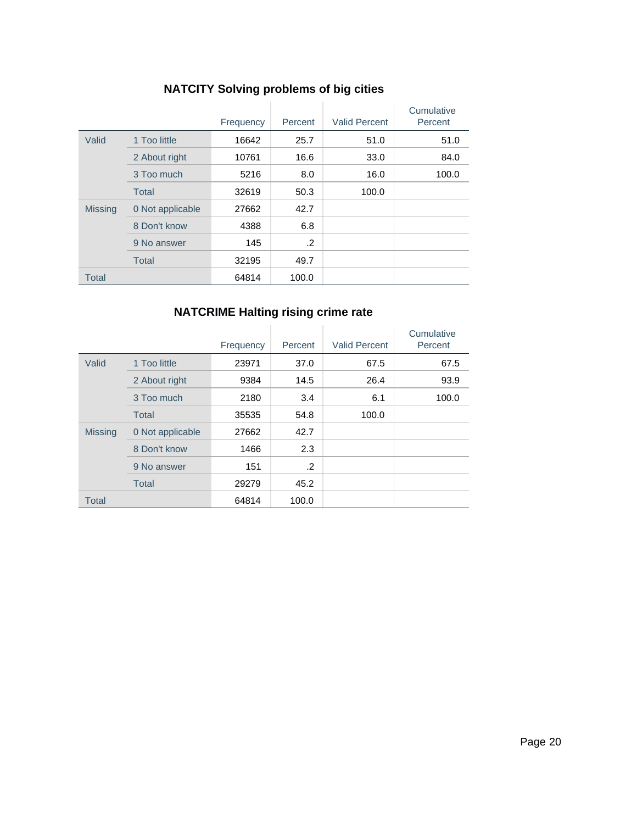|                |                  | Frequency | Percent | <b>Valid Percent</b> | Cumulative<br>Percent |
|----------------|------------------|-----------|---------|----------------------|-----------------------|
| Valid          | 1 Too little     | 16642     | 25.7    | 51.0                 | 51.0                  |
|                | 2 About right    | 10761     | 16.6    | 33.0                 | 84.0                  |
|                | 3 Too much       | 5216      | 8.0     | 16.0                 | 100.0                 |
|                | <b>Total</b>     | 32619     | 50.3    | 100.0                |                       |
| <b>Missing</b> | 0 Not applicable | 27662     | 42.7    |                      |                       |
|                | 8 Don't know     | 4388      | 6.8     |                      |                       |
|                | 9 No answer      | 145       | .2      |                      |                       |
|                | <b>Total</b>     | 32195     | 49.7    |                      |                       |
| <b>Total</b>   |                  | 64814     | 100.0   |                      |                       |

# **NATCITY Solving problems of big cities**

# **NATCRIME Halting rising crime rate**

|                |                  | Frequency | Percent | <b>Valid Percent</b> | Cumulative<br>Percent |
|----------------|------------------|-----------|---------|----------------------|-----------------------|
| Valid          | 1 Too little     | 23971     | 37.0    | 67.5                 | 67.5                  |
|                | 2 About right    | 9384      | 14.5    | 26.4                 | 93.9                  |
|                | 3 Too much       | 2180      | 3.4     | 6.1                  | 100.0                 |
|                | <b>Total</b>     | 35535     | 54.8    | 100.0                |                       |
| <b>Missing</b> | 0 Not applicable | 27662     | 42.7    |                      |                       |
|                | 8 Don't know     | 1466      | 2.3     |                      |                       |
|                | 9 No answer      | 151       | .2      |                      |                       |
|                | <b>Total</b>     | 29279     | 45.2    |                      |                       |
| <b>Total</b>   |                  | 64814     | 100.0   |                      |                       |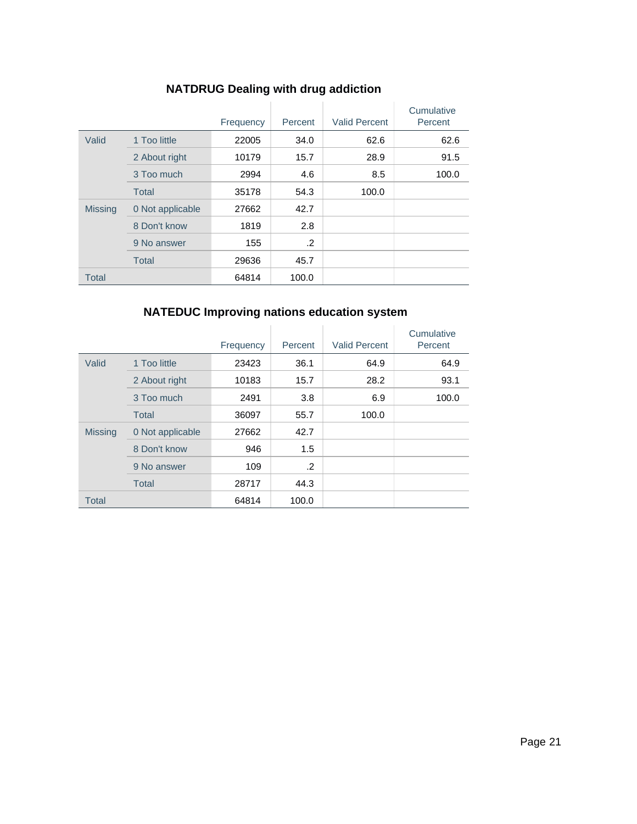|  |  |  | <b>NATDRUG Dealing with drug addiction</b> |
|--|--|--|--------------------------------------------|
|--|--|--|--------------------------------------------|

|                |                  | Frequency | Percent | <b>Valid Percent</b> | Cumulative<br>Percent |
|----------------|------------------|-----------|---------|----------------------|-----------------------|
| Valid          | 1 Too little     | 22005     | 34.0    | 62.6                 | 62.6                  |
|                | 2 About right    | 10179     | 15.7    | 28.9                 | 91.5                  |
|                | 3 Too much       | 2994      | 4.6     | 8.5                  | 100.0                 |
|                | <b>Total</b>     | 35178     | 54.3    | 100.0                |                       |
| <b>Missing</b> | 0 Not applicable | 27662     | 42.7    |                      |                       |
|                | 8 Don't know     | 1819      | 2.8     |                      |                       |
|                | 9 No answer      | 155       | .2      |                      |                       |
|                | <b>Total</b>     | 29636     | 45.7    |                      |                       |
| <b>Total</b>   |                  | 64814     | 100.0   |                      |                       |

# **NATEDUC Improving nations education system**

|                |                  | Frequency | Percent | <b>Valid Percent</b> | Cumulative<br>Percent |
|----------------|------------------|-----------|---------|----------------------|-----------------------|
| Valid          | 1 Too little     | 23423     | 36.1    | 64.9                 | 64.9                  |
|                | 2 About right    | 10183     | 15.7    | 28.2                 | 93.1                  |
|                | 3 Too much       | 2491      | 3.8     | 6.9                  | 100.0                 |
|                | <b>Total</b>     | 36097     | 55.7    | 100.0                |                       |
| <b>Missing</b> | 0 Not applicable | 27662     | 42.7    |                      |                       |
|                | 8 Don't know     | 946       | 1.5     |                      |                       |
|                | 9 No answer      | 109       | .2      |                      |                       |
|                | <b>Total</b>     | 28717     | 44.3    |                      |                       |
| <b>Total</b>   |                  | 64814     | 100.0   |                      |                       |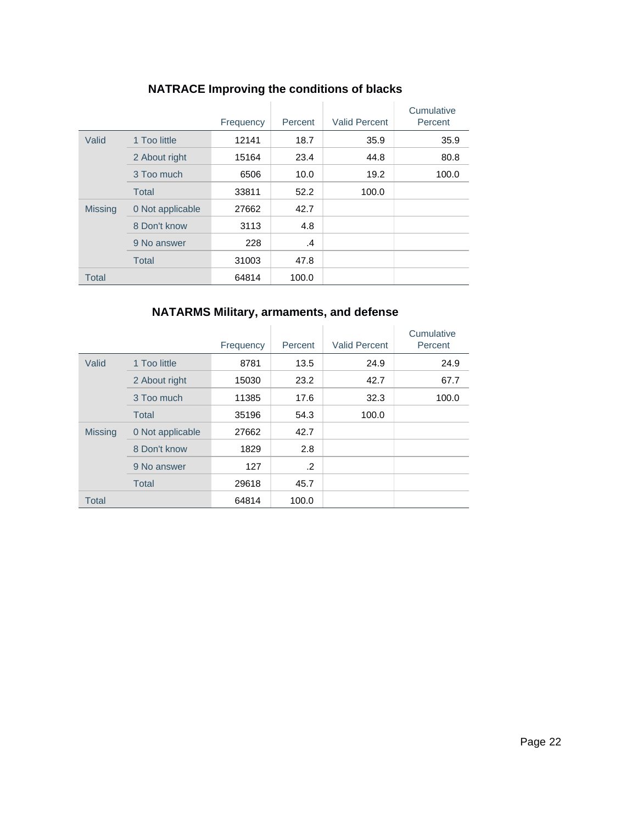|                |                  | Frequency | Percent | <b>Valid Percent</b> | Cumulative<br>Percent |
|----------------|------------------|-----------|---------|----------------------|-----------------------|
| Valid          | 1 Too little     | 12141     | 18.7    | 35.9                 | 35.9                  |
|                | 2 About right    | 15164     | 23.4    | 44.8                 | 80.8                  |
|                | 3 Too much       | 6506      | 10.0    | 19.2                 | 100.0                 |
|                | <b>Total</b>     | 33811     | 52.2    | 100.0                |                       |
| <b>Missing</b> | 0 Not applicable | 27662     | 42.7    |                      |                       |
|                | 8 Don't know     | 3113      | 4.8     |                      |                       |
|                | 9 No answer      | 228       | .4      |                      |                       |
|                | <b>Total</b>     | 31003     | 47.8    |                      |                       |
| <b>Total</b>   |                  | 64814     | 100.0   |                      |                       |

# **NATRACE Improving the conditions of blacks**

### **NATARMS Military, armaments, and defense**

|                |                  | Frequency | Percent | <b>Valid Percent</b> | Cumulative<br>Percent |
|----------------|------------------|-----------|---------|----------------------|-----------------------|
| Valid          | 1 Too little     | 8781      | 13.5    | 24.9                 | 24.9                  |
|                | 2 About right    | 15030     | 23.2    | 42.7                 | 67.7                  |
|                | 3 Too much       | 11385     | 17.6    | 32.3                 | 100.0                 |
|                | <b>Total</b>     | 35196     | 54.3    | 100.0                |                       |
| <b>Missing</b> | 0 Not applicable | 27662     | 42.7    |                      |                       |
|                | 8 Don't know     | 1829      | 2.8     |                      |                       |
|                | 9 No answer      | 127       | .2      |                      |                       |
|                | <b>Total</b>     | 29618     | 45.7    |                      |                       |
| <b>Total</b>   |                  | 64814     | 100.0   |                      |                       |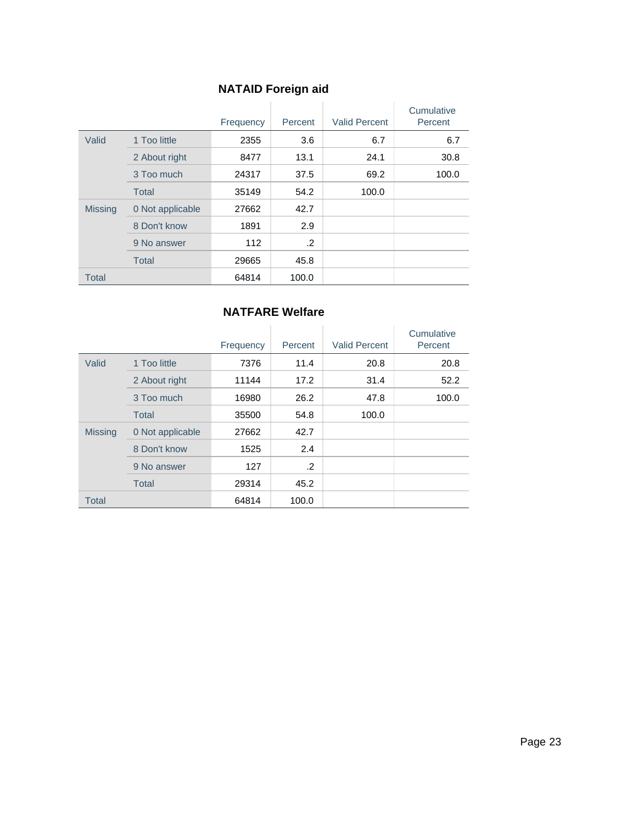# **NATAID Foreign aid**

|                |                  | Frequency | Percent    | <b>Valid Percent</b> | Cumulative<br>Percent |
|----------------|------------------|-----------|------------|----------------------|-----------------------|
| Valid          | 1 Too little     | 2355      | 3.6        | 6.7                  | 6.7                   |
|                | 2 About right    | 8477      | 13.1       | 24.1                 | 30.8                  |
|                | 3 Too much       | 24317     | 37.5       | 69.2                 | 100.0                 |
|                | <b>Total</b>     | 35149     | 54.2       | 100.0                |                       |
| <b>Missing</b> | 0 Not applicable | 27662     | 42.7       |                      |                       |
|                | 8 Don't know     | 1891      | 2.9        |                      |                       |
|                | 9 No answer      | 112       | $\cdot$ .2 |                      |                       |
|                | <b>Total</b>     | 29665     | 45.8       |                      |                       |
| <b>Total</b>   |                  | 64814     | 100.0      |                      |                       |

#### **NATFARE Welfare**

|                |                  | Frequency | Percent    | <b>Valid Percent</b> | Cumulative<br>Percent |
|----------------|------------------|-----------|------------|----------------------|-----------------------|
| Valid          | 1 Too little     | 7376      | 11.4       | 20.8                 | 20.8                  |
|                | 2 About right    | 11144     | 17.2       | 31.4                 | 52.2                  |
|                | 3 Too much       | 16980     | 26.2       | 47.8                 | 100.0                 |
|                | <b>Total</b>     | 35500     | 54.8       | 100.0                |                       |
| <b>Missing</b> | 0 Not applicable | 27662     | 42.7       |                      |                       |
|                | 8 Don't know     | 1525      | 2.4        |                      |                       |
|                | 9 No answer      | 127       | $\cdot$ .2 |                      |                       |
|                | <b>Total</b>     | 29314     | 45.2       |                      |                       |
| <b>Total</b>   |                  | 64814     | 100.0      |                      |                       |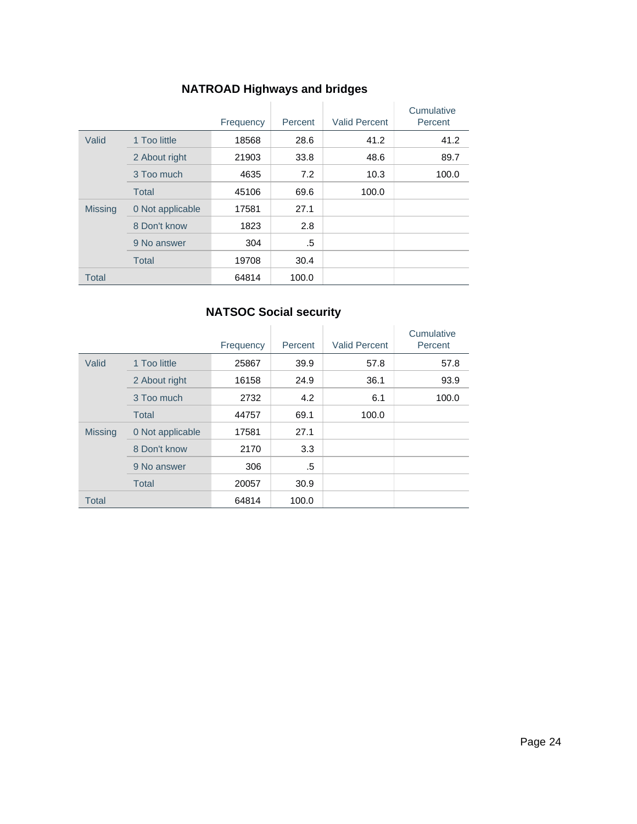# **NATROAD Highways and bridges**

|                |                  | Frequency | Percent | <b>Valid Percent</b> | Cumulative<br>Percent |
|----------------|------------------|-----------|---------|----------------------|-----------------------|
| Valid          | 1 Too little     | 18568     | 28.6    | 41.2                 | 41.2                  |
|                | 2 About right    | 21903     | 33.8    | 48.6                 | 89.7                  |
|                | 3 Too much       | 4635      | 7.2     | 10.3                 | 100.0                 |
|                | <b>Total</b>     | 45106     | 69.6    | 100.0                |                       |
| <b>Missing</b> | 0 Not applicable | 17581     | 27.1    |                      |                       |
|                | 8 Don't know     | 1823      | 2.8     |                      |                       |
|                | 9 No answer      | 304       | .5      |                      |                       |
|                | <b>Total</b>     | 19708     | 30.4    |                      |                       |
| <b>Total</b>   |                  | 64814     | 100.0   |                      |                       |

### **NATSOC Social security**

|                |                  | Frequency | Percent | <b>Valid Percent</b> | Cumulative<br>Percent |
|----------------|------------------|-----------|---------|----------------------|-----------------------|
| Valid          | 1 Too little     | 25867     | 39.9    | 57.8                 | 57.8                  |
|                | 2 About right    | 16158     | 24.9    | 36.1                 | 93.9                  |
|                | 3 Too much       | 2732      | 4.2     | 6.1                  | 100.0                 |
|                | Total            | 44757     | 69.1    | 100.0                |                       |
| <b>Missing</b> | 0 Not applicable | 17581     | 27.1    |                      |                       |
|                | 8 Don't know     | 2170      | 3.3     |                      |                       |
|                | 9 No answer      | 306       | .5      |                      |                       |
|                | <b>Total</b>     | 20057     | 30.9    |                      |                       |
| <b>Total</b>   |                  | 64814     | 100.0   |                      |                       |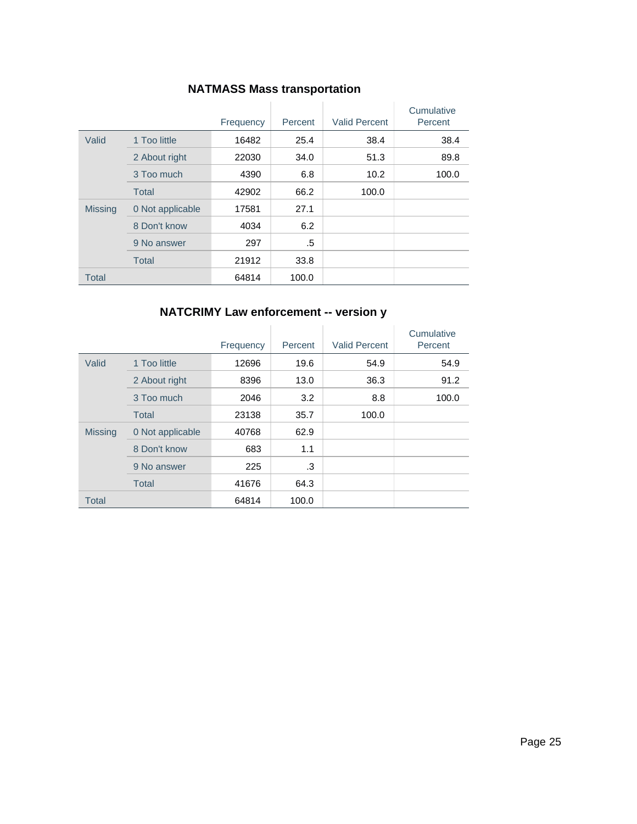### **NATMASS Mass transportation**

|                |                  | Frequency | Percent | <b>Valid Percent</b> | Cumulative<br>Percent |
|----------------|------------------|-----------|---------|----------------------|-----------------------|
| Valid          | 1 Too little     | 16482     | 25.4    | 38.4                 | 38.4                  |
|                | 2 About right    | 22030     | 34.0    | 51.3                 | 89.8                  |
|                | 3 Too much       | 4390      | 6.8     | 10.2                 | 100.0                 |
|                | <b>Total</b>     | 42902     | 66.2    | 100.0                |                       |
| <b>Missing</b> | 0 Not applicable | 17581     | 27.1    |                      |                       |
|                | 8 Don't know     | 4034      | 6.2     |                      |                       |
|                | 9 No answer      | 297       | .5      |                      |                       |
|                | <b>Total</b>     | 21912     | 33.8    |                      |                       |
| <b>Total</b>   |                  | 64814     | 100.0   |                      |                       |

### **NATCRIMY Law enforcement -- version y**

|                |                  | Frequency | Percent | <b>Valid Percent</b> | Cumulative<br>Percent |
|----------------|------------------|-----------|---------|----------------------|-----------------------|
| Valid          | 1 Too little     | 12696     | 19.6    | 54.9                 | 54.9                  |
|                | 2 About right    | 8396      | 13.0    | 36.3                 | 91.2                  |
|                | 3 Too much       | 2046      | 3.2     | 8.8                  | 100.0                 |
|                | <b>Total</b>     | 23138     | 35.7    | 100.0                |                       |
| <b>Missing</b> | 0 Not applicable | 40768     | 62.9    |                      |                       |
|                | 8 Don't know     | 683       | 1.1     |                      |                       |
|                | 9 No answer      | 225       | .3      |                      |                       |
|                | <b>Total</b>     | 41676     | 64.3    |                      |                       |
| <b>Total</b>   |                  | 64814     | 100.0   |                      |                       |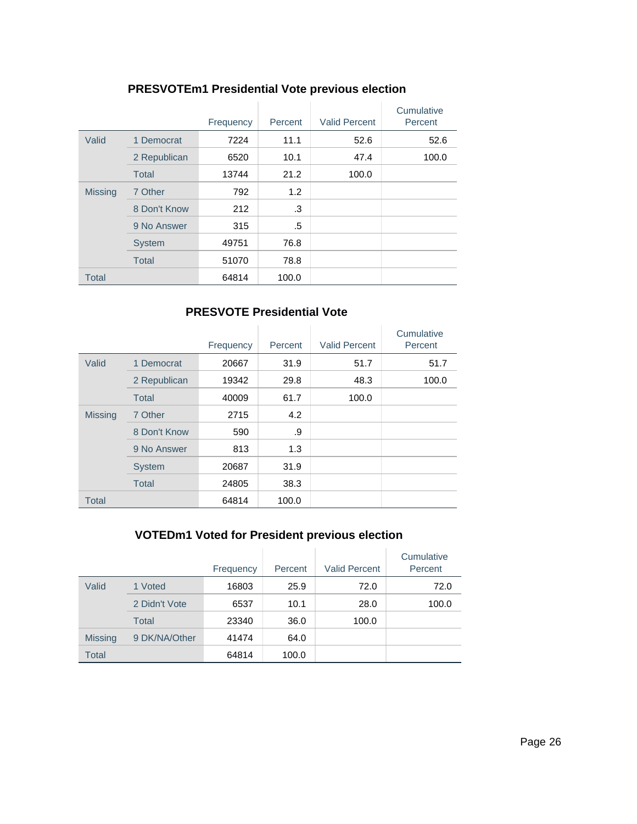### **PRESVOTEm1 Presidential Vote previous election**

|                |               | Frequency | Percent | <b>Valid Percent</b> | Cumulative<br>Percent |
|----------------|---------------|-----------|---------|----------------------|-----------------------|
| Valid          | 1 Democrat    | 7224      | 11.1    | 52.6                 | 52.6                  |
|                | 2 Republican  | 6520      | 10.1    | 47.4                 | 100.0                 |
|                | <b>Total</b>  | 13744     | 21.2    | 100.0                |                       |
| <b>Missing</b> | 7 Other       | 792       | 1.2     |                      |                       |
|                | 8 Don't Know  | 212       | .3      |                      |                       |
|                | 9 No Answer   | 315       | .5      |                      |                       |
|                | <b>System</b> | 49751     | 76.8    |                      |                       |
|                | <b>Total</b>  | 51070     | 78.8    |                      |                       |
| <b>Total</b>   |               | 64814     | 100.0   |                      |                       |

### **PRESVOTE Presidential Vote**

|                |               | Frequency | Percent | <b>Valid Percent</b> | Cumulative<br>Percent |
|----------------|---------------|-----------|---------|----------------------|-----------------------|
| Valid          | 1 Democrat    | 20667     | 31.9    | 51.7                 | 51.7                  |
|                | 2 Republican  | 19342     | 29.8    | 48.3                 | 100.0                 |
|                | <b>Total</b>  | 40009     | 61.7    | 100.0                |                       |
| <b>Missing</b> | 7 Other       | 2715      | 4.2     |                      |                       |
|                | 8 Don't Know  | 590       | .9      |                      |                       |
|                | 9 No Answer   | 813       | 1.3     |                      |                       |
|                | <b>System</b> | 20687     | 31.9    |                      |                       |
|                | <b>Total</b>  | 24805     | 38.3    |                      |                       |
| <b>Total</b>   |               | 64814     | 100.0   |                      |                       |

# **VOTEDm1 Voted for President previous election**

|                |               | Frequency | Percent | <b>Valid Percent</b> | Cumulative<br>Percent |
|----------------|---------------|-----------|---------|----------------------|-----------------------|
| Valid          | 1 Voted       | 16803     | 25.9    | 72.0                 | 72.0                  |
|                | 2 Didn't Vote | 6537      | 10.1    | 28.0                 | 100.0                 |
|                | Total         | 23340     | 36.0    | 100.0                |                       |
| <b>Missing</b> | 9 DK/NA/Other | 41474     | 64.0    |                      |                       |
| Total          |               | 64814     | 100.0   |                      |                       |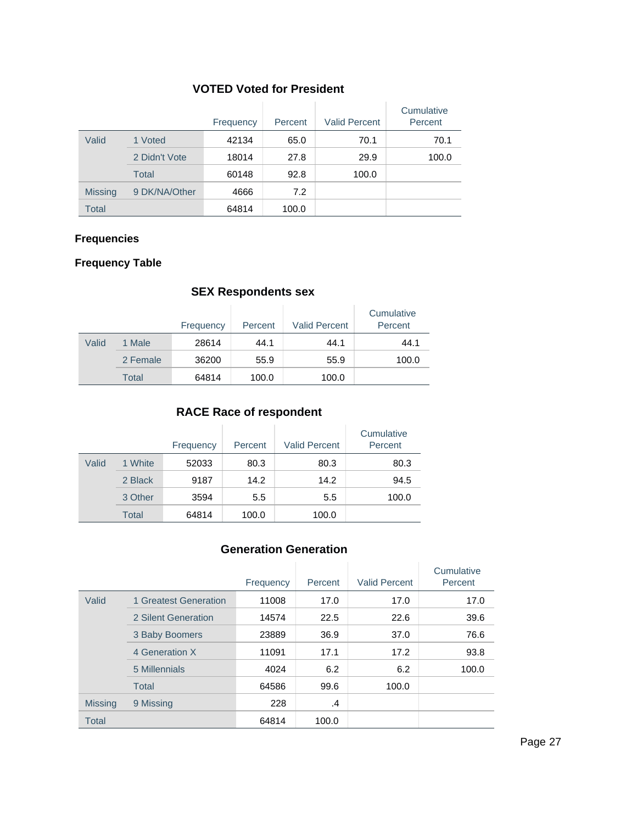### **VOTED Voted for President**

|                |               | Frequency | Percent | <b>Valid Percent</b> | Cumulative<br>Percent |
|----------------|---------------|-----------|---------|----------------------|-----------------------|
| Valid          | 1 Voted       | 42134     | 65.0    | 70.1                 | 70.1                  |
|                | 2 Didn't Vote | 18014     | 27.8    | 29.9                 | 100.0                 |
|                | Total         | 60148     | 92.8    | 100.0                |                       |
| <b>Missing</b> | 9 DK/NA/Other | 4666      | 7.2     |                      |                       |
| Total          |               | 64814     | 100.0   |                      |                       |

### **Frequencies**

#### **Frequency Table**

#### **SEX Respondents sex**

|       |          | Frequency | Percent | <b>Valid Percent</b> | Cumulative<br>Percent |
|-------|----------|-----------|---------|----------------------|-----------------------|
| Valid | 1 Male   | 28614     | 44.1    | 44.1                 | 44.1                  |
|       | 2 Female | 36200     | 55.9    | 55.9                 | 100.0                 |
|       | Total    | 64814     | 100.0   | 100.0                |                       |

#### **RACE Race of respondent**

|       |         | Frequency | Percent | <b>Valid Percent</b> | Cumulative<br>Percent |
|-------|---------|-----------|---------|----------------------|-----------------------|
| Valid | 1 White | 52033     | 80.3    | 80.3                 | 80.3                  |
|       | 2 Black | 9187      | 14.2    | 14.2                 | 94.5                  |
|       | 3 Other | 3594      | 5.5     | 5.5                  | 100.0                 |
|       | Total   | 64814     | 100.0   | 100.0                |                       |

#### **Generation Generation**

|                |                       | Frequency | Percent | <b>Valid Percent</b> | Cumulative<br>Percent |
|----------------|-----------------------|-----------|---------|----------------------|-----------------------|
| Valid          | 1 Greatest Generation | 11008     | 17.0    | 17.0                 | 17.0                  |
|                | 2 Silent Generation   | 14574     | 22.5    | 22.6                 | 39.6                  |
|                | 3 Baby Boomers        | 23889     | 36.9    | 37.0                 | 76.6                  |
|                | 4 Generation X        | 11091     | 17.1    | 17.2                 | 93.8                  |
|                | 5 Millennials         | 4024      | 6.2     | 6.2                  | 100.0                 |
|                | Total                 | 64586     | 99.6    | 100.0                |                       |
| <b>Missing</b> | 9 Missing             | 228       | $\cdot$ |                      |                       |
| <b>Total</b>   |                       | 64814     | 100.0   |                      |                       |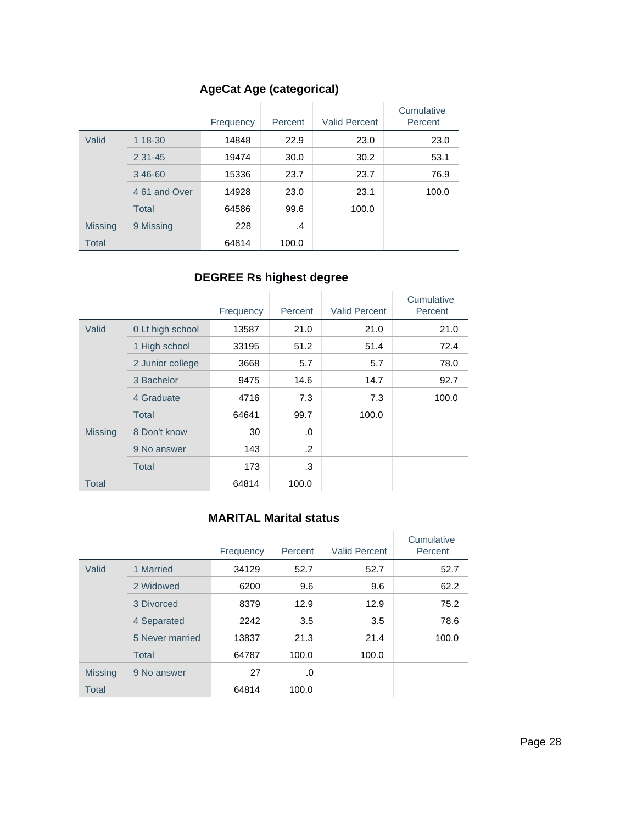# **AgeCat Age (categorical)**

|                |               | Frequency | Percent | <b>Valid Percent</b> | Cumulative<br>Percent |
|----------------|---------------|-----------|---------|----------------------|-----------------------|
| Valid          | 1 18-30       | 14848     | 22.9    | 23.0                 | 23.0                  |
|                | $231 - 45$    | 19474     | 30.0    | 30.2                 | 53.1                  |
|                | 346-60        | 15336     | 23.7    | 23.7                 | 76.9                  |
|                | 4 61 and Over | 14928     | 23.0    | 23.1                 | 100.0                 |
|                | <b>Total</b>  | 64586     | 99.6    | 100.0                |                       |
| <b>Missing</b> | 9 Missing     | 228       | .4      |                      |                       |
| <b>Total</b>   |               | 64814     | 100.0   |                      |                       |

# **DEGREE Rs highest degree**

|                |                  | Frequency | Percent | <b>Valid Percent</b> | Cumulative<br>Percent |
|----------------|------------------|-----------|---------|----------------------|-----------------------|
| Valid          | 0 Lt high school | 13587     | 21.0    | 21.0                 | 21.0                  |
|                | 1 High school    | 33195     | 51.2    | 51.4                 | 72.4                  |
|                | 2 Junior college | 3668      | 5.7     | 5.7                  | 78.0                  |
|                | 3 Bachelor       | 9475      | 14.6    | 14.7                 | 92.7                  |
|                | 4 Graduate       | 4716      | 7.3     | 7.3                  | 100.0                 |
|                | <b>Total</b>     | 64641     | 99.7    | 100.0                |                       |
| <b>Missing</b> | 8 Don't know     | 30        | .0      |                      |                       |
|                | 9 No answer      | 143       | .2      |                      |                       |
|                | <b>Total</b>     | 173       | .3      |                      |                       |
| Total          |                  | 64814     | 100.0   |                      |                       |

### **MARITAL Marital status**

|                |                 | Frequency | Percent | <b>Valid Percent</b> | Cumulative<br>Percent |
|----------------|-----------------|-----------|---------|----------------------|-----------------------|
| Valid          | 1 Married       | 34129     | 52.7    | 52.7                 | 52.7                  |
|                | 2 Widowed       | 6200      | 9.6     | 9.6                  | 62.2                  |
|                | 3 Divorced      | 8379      | 12.9    | 12.9                 | 75.2                  |
|                | 4 Separated     | 2242      | 3.5     | 3.5                  | 78.6                  |
|                | 5 Never married | 13837     | 21.3    | 21.4                 | 100.0                 |
|                | <b>Total</b>    | 64787     | 100.0   | 100.0                |                       |
| <b>Missing</b> | 9 No answer     | 27        | .0      |                      |                       |
| Total          |                 | 64814     | 100.0   |                      |                       |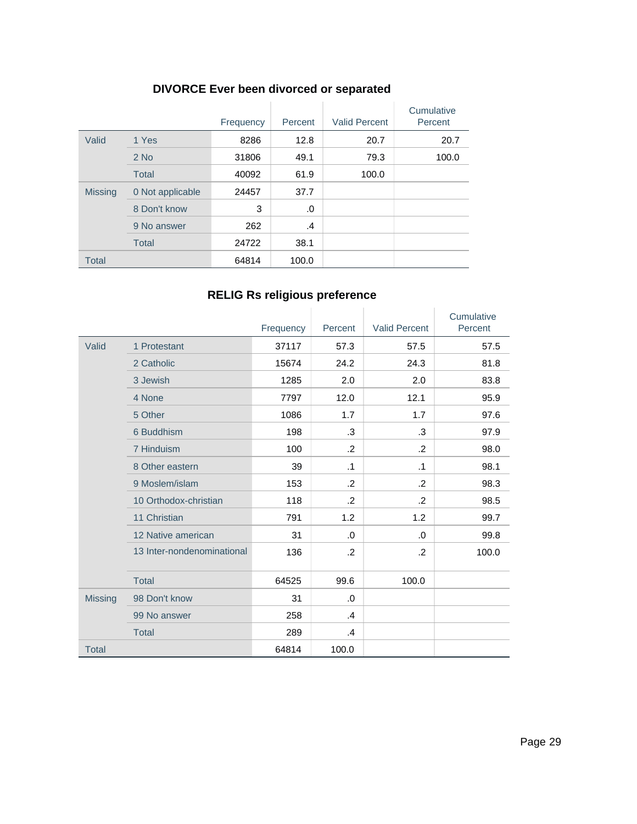### **DIVORCE Ever been divorced or separated**

|                |                  | Frequency | Percent | <b>Valid Percent</b> | Cumulative<br>Percent |
|----------------|------------------|-----------|---------|----------------------|-----------------------|
| Valid          | 1 Yes            | 8286      | 12.8    | 20.7                 | 20.7                  |
|                | $2$ No           | 31806     | 49.1    | 79.3                 | 100.0                 |
|                | <b>Total</b>     | 40092     | 61.9    | 100.0                |                       |
| <b>Missing</b> | 0 Not applicable | 24457     | 37.7    |                      |                       |
|                | 8 Don't know     | 3         | .0      |                      |                       |
|                | 9 No answer      | 262       | .4      |                      |                       |
|                | <b>Total</b>     | 24722     | 38.1    |                      |                       |
| <b>Total</b>   |                  | 64814     | 100.0   |                      |                       |

# **RELIG Rs religious preference**

|                |                            | Frequency | Percent        | <b>Valid Percent</b> | Cumulative<br>Percent |
|----------------|----------------------------|-----------|----------------|----------------------|-----------------------|
| Valid          | 1 Protestant               | 37117     | 57.3           | 57.5                 | 57.5                  |
|                | 2 Catholic                 | 15674     | 24.2           | 24.3                 | 81.8                  |
|                | 3 Jewish                   | 1285      | 2.0            | 2.0                  | 83.8                  |
|                | 4 None                     | 7797      | 12.0           | 12.1                 | 95.9                  |
|                | 5 Other                    | 1086      | 1.7            | 1.7                  | 97.6                  |
|                | 6 Buddhism                 | 198       | .3             | .3                   | 97.9                  |
|                | 7 Hinduism                 | 100       | $\cdot$        | $\cdot$              | 98.0                  |
|                | 8 Other eastern            | 39        | $\cdot$ 1      | $\cdot$ 1            | 98.1                  |
|                | 9 Moslem/islam             | 153       | $\overline{2}$ | $\cdot$              | 98.3                  |
|                | 10 Orthodox-christian      | 118       | $\cdot$        | $\cdot$              | 98.5                  |
|                | 11 Christian               | 791       | 1.2            | 1.2                  | 99.7                  |
|                | 12 Native american         | 31        | $\Omega$       | .0                   | 99.8                  |
|                | 13 Inter-nondenominational | 136       | $\cdot$ .2     | $\cdot$              | 100.0                 |
|                | <b>Total</b>               | 64525     | 99.6           | 100.0                |                       |
| <b>Missing</b> | 98 Don't know              | 31        | .0             |                      |                       |
|                | 99 No answer               | 258       | $\mathcal{A}$  |                      |                       |
|                | <b>Total</b>               | 289       | $\mathcal{A}$  |                      |                       |
| <b>Total</b>   |                            | 64814     | 100.0          |                      |                       |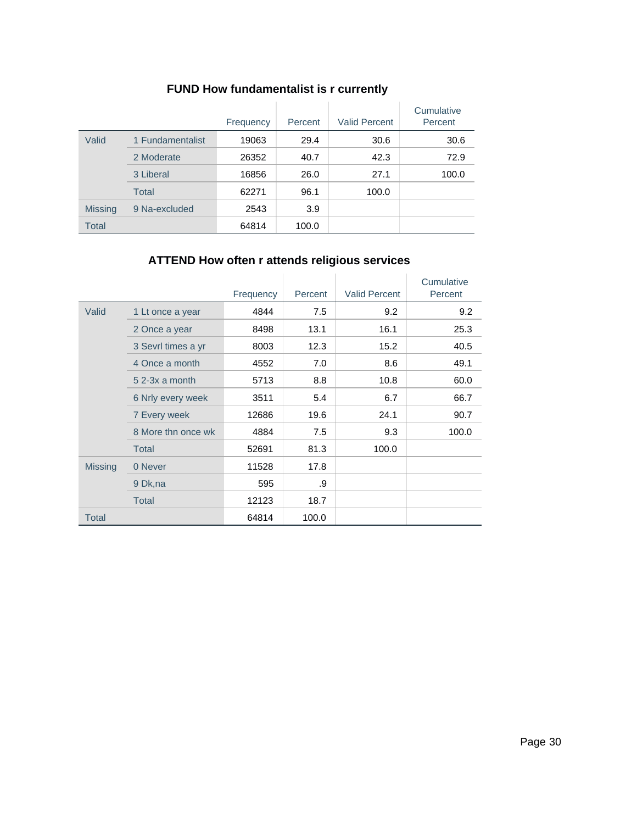# **FUND How fundamentalist is r currently**

|                |                  | Frequency | Percent | <b>Valid Percent</b> | Cumulative<br>Percent |
|----------------|------------------|-----------|---------|----------------------|-----------------------|
| Valid          | 1 Fundamentalist | 19063     | 29.4    | 30.6                 | 30.6                  |
|                | 2 Moderate       | 26352     | 40.7    | 42.3                 | 72.9                  |
|                | 3 Liberal        | 16856     | 26.0    | 27.1                 | 100.0                 |
|                | Total            | 62271     | 96.1    | 100.0                |                       |
| <b>Missing</b> | 9 Na-excluded    | 2543      | 3.9     |                      |                       |
| Total          |                  | 64814     | 100.0   |                      |                       |

# **ATTEND How often r attends religious services**

|                |                    | Frequency | Percent | <b>Valid Percent</b> | Cumulative<br>Percent |
|----------------|--------------------|-----------|---------|----------------------|-----------------------|
| Valid          | 1 Lt once a year   | 4844      | 7.5     | 9.2                  | 9.2                   |
|                | 2 Once a year      | 8498      | 13.1    | 16.1                 | 25.3                  |
|                | 3 Sevrl times a yr | 8003      | 12.3    | 15.2                 | 40.5                  |
|                | 4 Once a month     | 4552      | 7.0     | 8.6                  | 49.1                  |
|                | $52-3x$ a month    | 5713      | 8.8     | 10.8                 | 60.0                  |
|                | 6 Nrly every week  | 3511      | 5.4     | 6.7                  | 66.7                  |
|                | 7 Every week       | 12686     | 19.6    | 24.1                 | 90.7                  |
|                | 8 More thn once wk | 4884      | 7.5     | 9.3                  | 100.0                 |
|                | <b>Total</b>       | 52691     | 81.3    | 100.0                |                       |
| <b>Missing</b> | 0 Never            | 11528     | 17.8    |                      |                       |
|                | 9 Dk, na           | 595       | .9      |                      |                       |
|                | <b>Total</b>       | 12123     | 18.7    |                      |                       |
| <b>Total</b>   |                    | 64814     | 100.0   |                      |                       |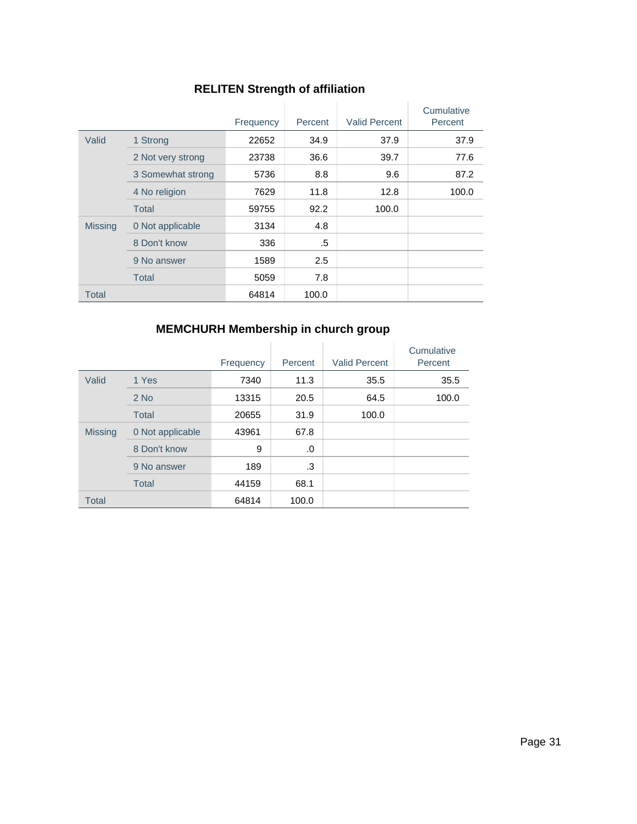# **RELITEN Strength of affiliation**

|                |                   | Frequency | Percent | <b>Valid Percent</b> | Cumulative<br>Percent |
|----------------|-------------------|-----------|---------|----------------------|-----------------------|
| Valid          | 1 Strong          | 22652     | 34.9    | 37.9                 | 37.9                  |
|                | 2 Not very strong | 23738     | 36.6    | 39.7                 | 77.6                  |
|                | 3 Somewhat strong | 5736      | 8.8     | 9.6                  | 87.2                  |
|                | 4 No religion     | 7629      | 11.8    | 12.8                 | 100.0                 |
|                | Total             | 59755     | 92.2    | 100.0                |                       |
| <b>Missing</b> | 0 Not applicable  | 3134      | 4.8     |                      |                       |
|                | 8 Don't know      | 336       | .5      |                      |                       |
|                | 9 No answer       | 1589      | 2.5     |                      |                       |
|                | Total             | 5059      | 7.8     |                      |                       |
| Total          |                   | 64814     | 100.0   |                      |                       |

# **MEMCHURH Membership in church group**

|                |                  | Frequency | Percent | <b>Valid Percent</b> | Cumulative<br>Percent |
|----------------|------------------|-----------|---------|----------------------|-----------------------|
| Valid          | 1 Yes            | 7340      | 11.3    | 35.5                 | 35.5                  |
|                | $2$ No           | 13315     | 20.5    | 64.5                 | 100.0                 |
|                | <b>Total</b>     | 20655     | 31.9    | 100.0                |                       |
| <b>Missing</b> | 0 Not applicable | 43961     | 67.8    |                      |                       |
|                | 8 Don't know     | 9         | .0      |                      |                       |
|                | 9 No answer      | 189       | .3      |                      |                       |
|                | <b>Total</b>     | 44159     | 68.1    |                      |                       |
| <b>Total</b>   |                  | 64814     | 100.0   |                      |                       |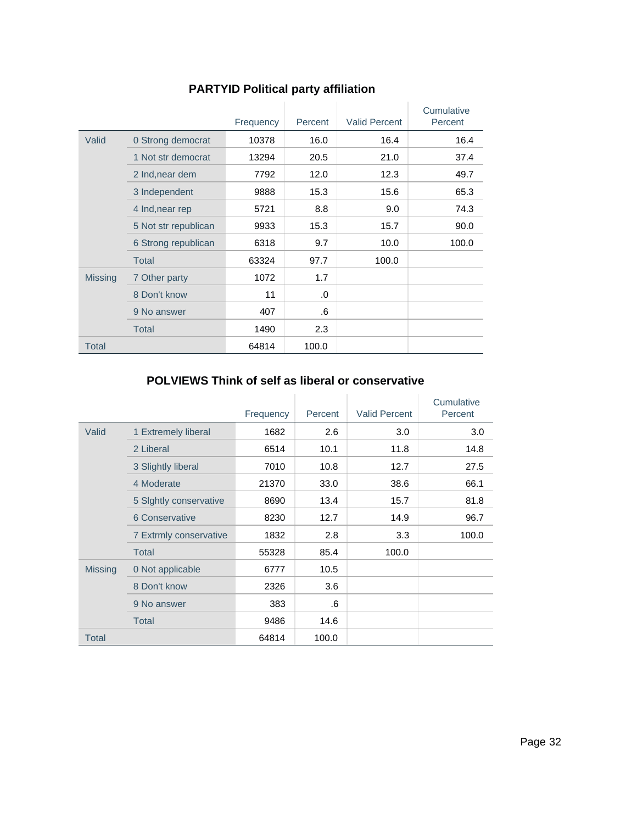|                |                      | Frequency | Percent | <b>Valid Percent</b> | Cumulative<br>Percent |
|----------------|----------------------|-----------|---------|----------------------|-----------------------|
| Valid          | 0 Strong democrat    | 10378     | 16.0    | 16.4                 | 16.4                  |
|                | 1 Not str democrat   | 13294     | 20.5    | 21.0                 | 37.4                  |
|                | 2 Ind, near dem      | 7792      | 12.0    | 12.3                 | 49.7                  |
|                | 3 Independent        | 9888      | 15.3    | 15.6                 | 65.3                  |
|                | 4 Ind, near rep      | 5721      | 8.8     | 9.0                  | 74.3                  |
|                | 5 Not str republican | 9933      | 15.3    | 15.7                 | 90.0                  |
|                | 6 Strong republican  | 6318      | 9.7     | 10.0                 | 100.0                 |
|                | <b>Total</b>         | 63324     | 97.7    | 100.0                |                       |
| <b>Missing</b> | 7 Other party        | 1072      | 1.7     |                      |                       |
|                | 8 Don't know         | 11        | .0      |                      |                       |
|                | 9 No answer          | 407       | .6      |                      |                       |
|                | <b>Total</b>         | 1490      | 2.3     |                      |                       |
| <b>Total</b>   |                      | 64814     | 100.0   |                      |                       |

# **PARTYID Political party affiliation**

#### **POLVIEWS Think of self as liberal or conservative**

|                |                        | Frequency | Percent | <b>Valid Percent</b> | Cumulative<br>Percent |
|----------------|------------------------|-----------|---------|----------------------|-----------------------|
| Valid          | 1 Extremely liberal    | 1682      | 2.6     | 3.0                  | 3.0                   |
|                | 2 Liberal              | 6514      | 10.1    | 11.8                 | 14.8                  |
|                | 3 Slightly liberal     | 7010      | 10.8    | 12.7                 | 27.5                  |
|                | 4 Moderate             | 21370     | 33.0    | 38.6                 | 66.1                  |
|                | 5 Sightly conservative | 8690      | 13.4    | 15.7                 | 81.8                  |
|                | 6 Conservative         | 8230      | 12.7    | 14.9                 | 96.7                  |
|                | 7 Extrmly conservative | 1832      | 2.8     | 3.3                  | 100.0                 |
|                | Total                  | 55328     | 85.4    | 100.0                |                       |
| <b>Missing</b> | 0 Not applicable       | 6777      | 10.5    |                      |                       |
|                | 8 Don't know           | 2326      | 3.6     |                      |                       |
|                | 9 No answer            | 383       | .6      |                      |                       |
|                | <b>Total</b>           | 9486      | 14.6    |                      |                       |
| <b>Total</b>   |                        | 64814     | 100.0   |                      |                       |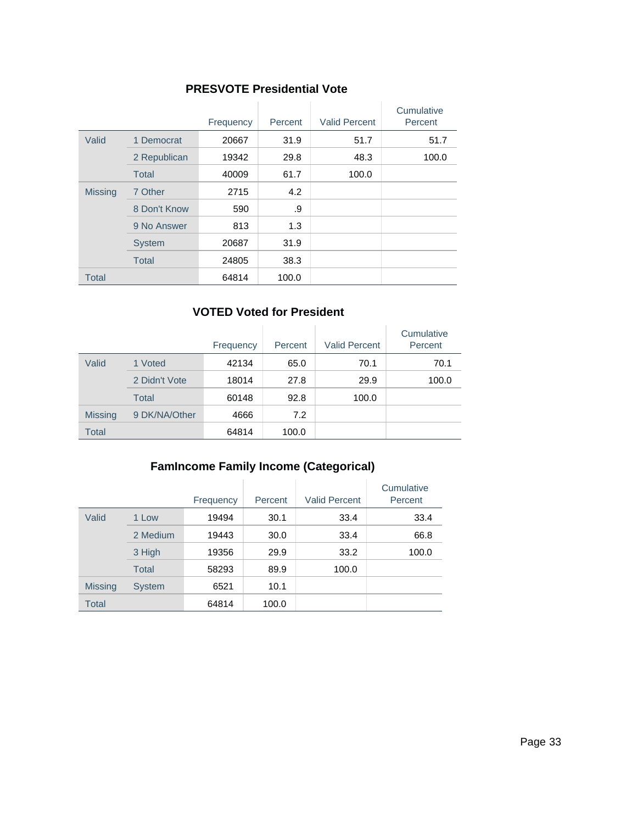#### **PRESVOTE Presidential Vote**

|                |               | Frequency | Percent | <b>Valid Percent</b> | Cumulative<br>Percent |
|----------------|---------------|-----------|---------|----------------------|-----------------------|
| Valid          | 1 Democrat    | 20667     | 31.9    | 51.7                 | 51.7                  |
|                | 2 Republican  | 19342     | 29.8    | 48.3                 | 100.0                 |
|                | Total         | 40009     | 61.7    | 100.0                |                       |
| <b>Missing</b> | 7 Other       | 2715      | 4.2     |                      |                       |
|                | 8 Don't Know  | 590       | .9      |                      |                       |
|                | 9 No Answer   | 813       | 1.3     |                      |                       |
|                | <b>System</b> | 20687     | 31.9    |                      |                       |
|                | <b>Total</b>  | 24805     | 38.3    |                      |                       |
| <b>Total</b>   |               | 64814     | 100.0   |                      |                       |

#### **VOTED Voted for President**

|                |               | Frequency | Percent | <b>Valid Percent</b> | Cumulative<br>Percent |
|----------------|---------------|-----------|---------|----------------------|-----------------------|
| Valid          | 1 Voted       | 42134     | 65.0    | 70.1                 | 70.1                  |
|                | 2 Didn't Vote | 18014     | 27.8    | 29.9                 | 100.0                 |
|                | Total         | 60148     | 92.8    | 100.0                |                       |
| <b>Missing</b> | 9 DK/NA/Other | 4666      | 7.2     |                      |                       |
| <b>Total</b>   |               | 64814     | 100.0   |                      |                       |

### **FamIncome Family Income (Categorical)**

|                |               | Frequency | Percent | <b>Valid Percent</b> | Cumulative<br>Percent |
|----------------|---------------|-----------|---------|----------------------|-----------------------|
| Valid          | 1 Low         | 19494     | 30.1    | 33.4                 | 33.4                  |
|                | 2 Medium      | 19443     | 30.0    | 33.4                 | 66.8                  |
|                | 3 High        | 19356     | 29.9    | 33.2                 | 100.0                 |
|                | Total         | 58293     | 89.9    | 100.0                |                       |
| <b>Missing</b> | <b>System</b> | 6521      | 10.1    |                      |                       |
| <b>Total</b>   |               | 64814     | 100.0   |                      |                       |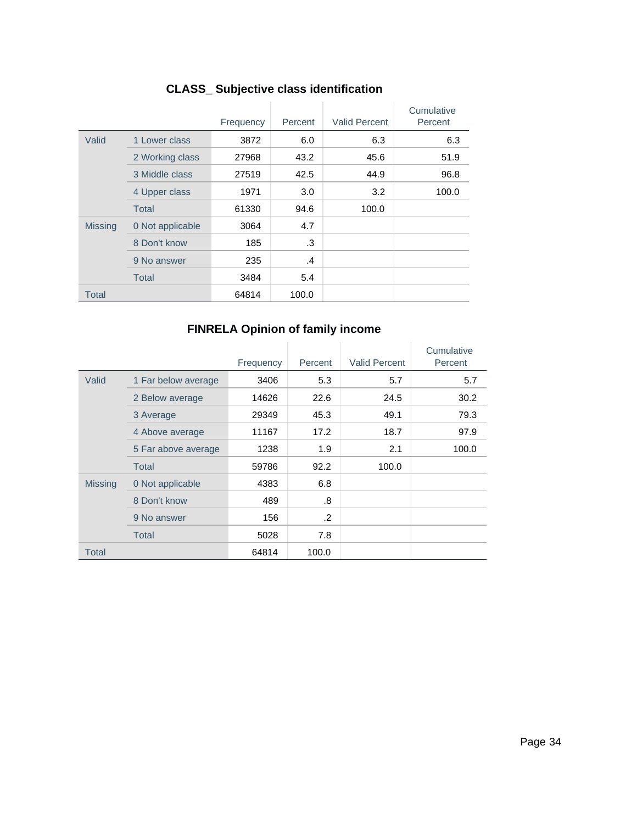|                |                  | Frequency | Percent | <b>Valid Percent</b> | Cumulative<br>Percent |
|----------------|------------------|-----------|---------|----------------------|-----------------------|
| Valid          | 1 Lower class    | 3872      | 6.0     | 6.3                  | 6.3                   |
|                | 2 Working class  | 27968     | 43.2    | 45.6                 | 51.9                  |
|                | 3 Middle class   | 27519     | 42.5    | 44.9                 | 96.8                  |
|                | 4 Upper class    | 1971      | 3.0     | 3.2                  | 100.0                 |
|                | Total            | 61330     | 94.6    | 100.0                |                       |
| <b>Missing</b> | 0 Not applicable | 3064      | 4.7     |                      |                       |
|                | 8 Don't know     | 185       | .3      |                      |                       |
|                | 9 No answer      | 235       | $\cdot$ |                      |                       |
|                | <b>Total</b>     | 3484      | 5.4     |                      |                       |
| <b>Total</b>   |                  | 64814     | 100.0   |                      |                       |

# **CLASS\_ Subjective class identification**

# **FINRELA Opinion of family income**

|                |                     | Frequency | Percent | <b>Valid Percent</b> | Cumulative<br>Percent |
|----------------|---------------------|-----------|---------|----------------------|-----------------------|
| Valid          | 1 Far below average | 3406      | 5.3     | 5.7                  | 5.7                   |
|                | 2 Below average     | 14626     | 22.6    | 24.5                 | 30.2                  |
|                | 3 Average           | 29349     | 45.3    | 49.1                 | 79.3                  |
|                | 4 Above average     | 11167     | 17.2    | 18.7                 | 97.9                  |
|                | 5 Far above average | 1238      | 1.9     | 2.1                  | 100.0                 |
|                | Total               | 59786     | 92.2    | 100.0                |                       |
| <b>Missing</b> | 0 Not applicable    | 4383      | 6.8     |                      |                       |
|                | 8 Don't know        | 489       | .8      |                      |                       |
|                | 9 No answer         | 156       | .2      |                      |                       |
|                | Total               | 5028      | 7.8     |                      |                       |
| Total          |                     | 64814     | 100.0   |                      |                       |